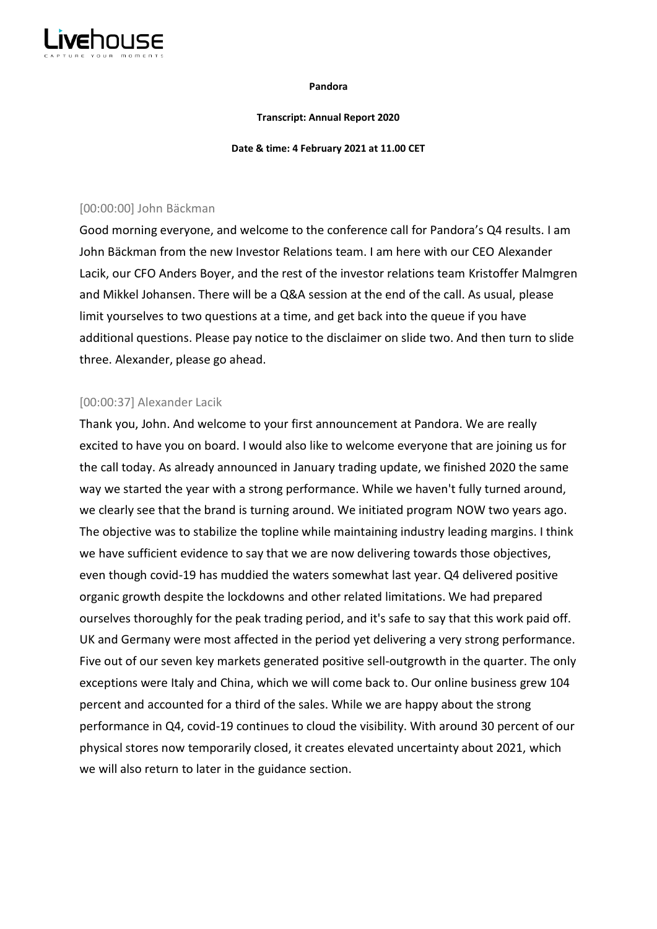

#### **Pandora**

#### **Transcript: Annual Report 2020**

#### **Date & time: 4 February 2021 at 11.00 CET**

## [00:00:00] John Bäckman

Good morning everyone, and welcome to the conference call for Pandora's Q4 results. I am John Bäckman from the new Investor Relations team. I am here with our CEO Alexander Lacik, our CFO Anders Boyer, and the rest of the investor relations team Kristoffer Malmgren and Mikkel Johansen. There will be a Q&A session at the end of the call. As usual, please limit yourselves to two questions at a time, and get back into the queue if you have additional questions. Please pay notice to the disclaimer on slide two. And then turn to slide three. Alexander, please go ahead.

## [00:00:37] Alexander Lacik

Thank you, John. And welcome to your first announcement at Pandora. We are really excited to have you on board. I would also like to welcome everyone that are joining us for the call today. As already announced in January trading update, we finished 2020 the same way we started the year with a strong performance. While we haven't fully turned around, we clearly see that the brand is turning around. We initiated program NOW two years ago. The objective was to stabilize the topline while maintaining industry leading margins. I think we have sufficient evidence to say that we are now delivering towards those objectives, even though covid-19 has muddied the waters somewhat last year. Q4 delivered positive organic growth despite the lockdowns and other related limitations. We had prepared ourselves thoroughly for the peak trading period, and it's safe to say that this work paid off. UK and Germany were most affected in the period yet delivering a very strong performance. Five out of our seven key markets generated positive sell-outgrowth in the quarter. The only exceptions were Italy and China, which we will come back to. Our online business grew 104 percent and accounted for a third of the sales. While we are happy about the strong performance in Q4, covid-19 continues to cloud the visibility. With around 30 percent of our physical stores now temporarily closed, it creates elevated uncertainty about 2021, which we will also return to later in the guidance section.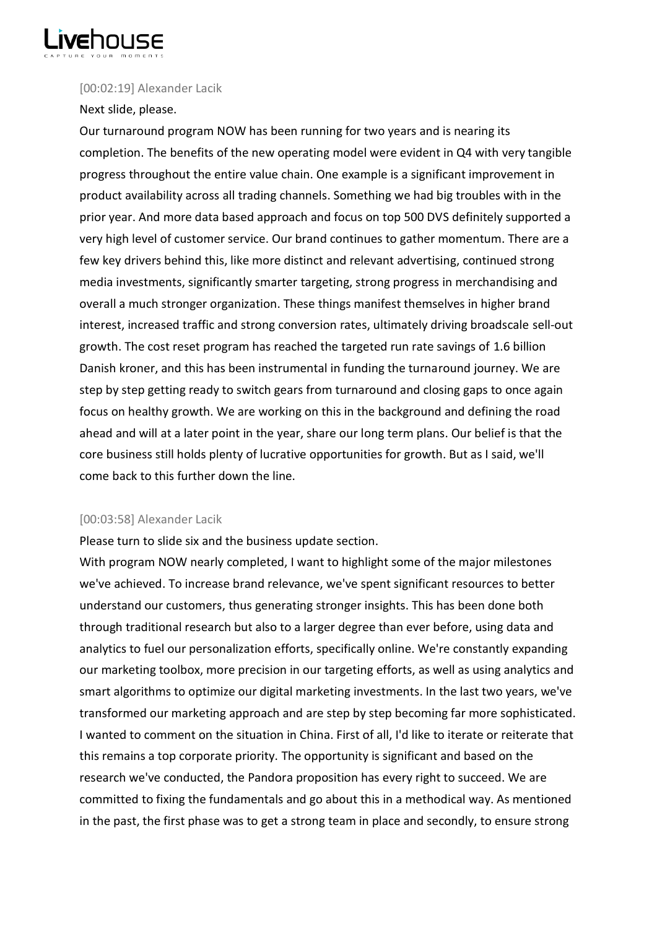

## [00:02:19] Alexander Lacik

## Next slide, please.

Our turnaround program NOW has been running for two years and is nearing its completion. The benefits of the new operating model were evident in Q4 with very tangible progress throughout the entire value chain. One example is a significant improvement in product availability across all trading channels. Something we had big troubles with in the prior year. And more data based approach and focus on top 500 DVS definitely supported a very high level of customer service. Our brand continues to gather momentum. There are a few key drivers behind this, like more distinct and relevant advertising, continued strong media investments, significantly smarter targeting, strong progress in merchandising and overall a much stronger organization. These things manifest themselves in higher brand interest, increased traffic and strong conversion rates, ultimately driving broadscale sell-out growth. The cost reset program has reached the targeted run rate savings of 1.6 billion Danish kroner, and this has been instrumental in funding the turnaround journey. We are step by step getting ready to switch gears from turnaround and closing gaps to once again focus on healthy growth. We are working on this in the background and defining the road ahead and will at a later point in the year, share our long term plans. Our belief is that the core business still holds plenty of lucrative opportunities for growth. But as I said, we'll come back to this further down the line.

## [00:03:58] Alexander Lacik

Please turn to slide six and the business update section.

With program NOW nearly completed, I want to highlight some of the major milestones we've achieved. To increase brand relevance, we've spent significant resources to better understand our customers, thus generating stronger insights. This has been done both through traditional research but also to a larger degree than ever before, using data and analytics to fuel our personalization efforts, specifically online. We're constantly expanding our marketing toolbox, more precision in our targeting efforts, as well as using analytics and smart algorithms to optimize our digital marketing investments. In the last two years, we've transformed our marketing approach and are step by step becoming far more sophisticated. I wanted to comment on the situation in China. First of all, I'd like to iterate or reiterate that this remains a top corporate priority. The opportunity is significant and based on the research we've conducted, the Pandora proposition has every right to succeed. We are committed to fixing the fundamentals and go about this in a methodical way. As mentioned in the past, the first phase was to get a strong team in place and secondly, to ensure strong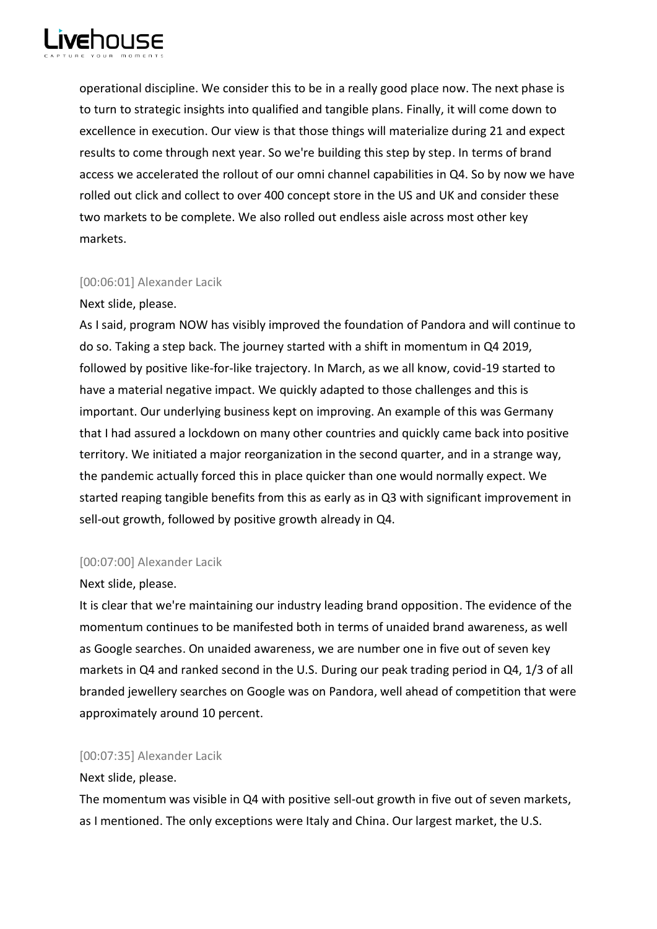

operational discipline. We consider this to be in a really good place now. The next phase is to turn to strategic insights into qualified and tangible plans. Finally, it will come down to excellence in execution. Our view is that those things will materialize during 21 and expect results to come through next year. So we're building this step by step. In terms of brand access we accelerated the rollout of our omni channel capabilities in Q4. So by now we have rolled out click and collect to over 400 concept store in the US and UK and consider these two markets to be complete. We also rolled out endless aisle across most other key markets.

# [00:06:01] Alexander Lacik

# Next slide, please.

As I said, program NOW has visibly improved the foundation of Pandora and will continue to do so. Taking a step back. The journey started with a shift in momentum in Q4 2019, followed by positive like-for-like trajectory. In March, as we all know, covid-19 started to have a material negative impact. We quickly adapted to those challenges and this is important. Our underlying business kept on improving. An example of this was Germany that I had assured a lockdown on many other countries and quickly came back into positive territory. We initiated a major reorganization in the second quarter, and in a strange way, the pandemic actually forced this in place quicker than one would normally expect. We started reaping tangible benefits from this as early as in Q3 with significant improvement in sell-out growth, followed by positive growth already in Q4.

# [00:07:00] Alexander Lacik

# Next slide, please.

It is clear that we're maintaining our industry leading brand opposition. The evidence of the momentum continues to be manifested both in terms of unaided brand awareness, as well as Google searches. On unaided awareness, we are number one in five out of seven key markets in Q4 and ranked second in the U.S. During our peak trading period in Q4, 1/3 of all branded jewellery searches on Google was on Pandora, well ahead of competition that were approximately around 10 percent.

# [00:07:35] Alexander Lacik

# Next slide, please.

The momentum was visible in Q4 with positive sell-out growth in five out of seven markets, as I mentioned. The only exceptions were Italy and China. Our largest market, the U.S.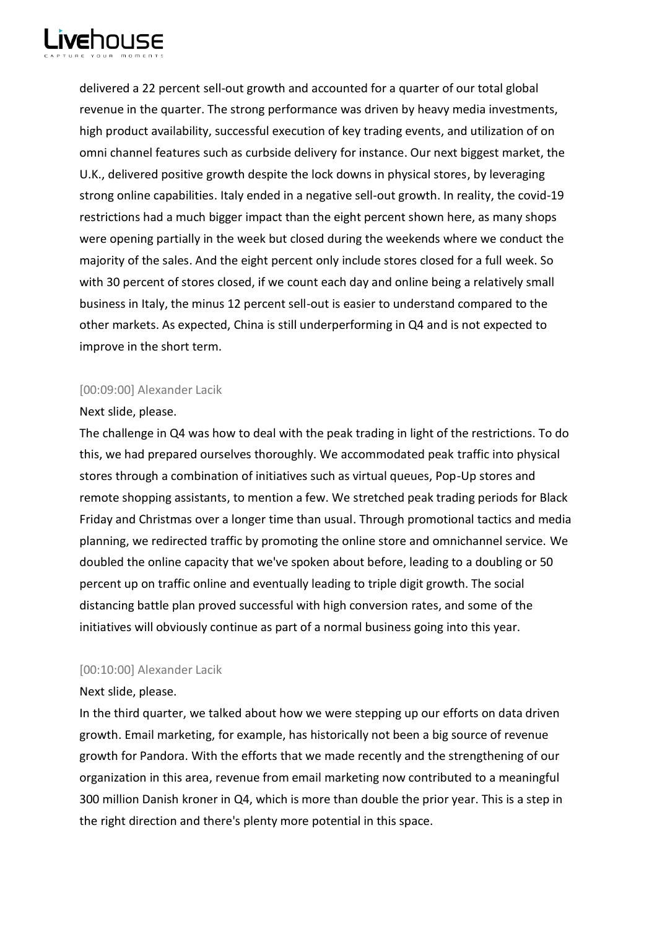

delivered a 22 percent sell-out growth and accounted for a quarter of our total global revenue in the quarter. The strong performance was driven by heavy media investments, high product availability, successful execution of key trading events, and utilization of on omni channel features such as curbside delivery for instance. Our next biggest market, the U.K., delivered positive growth despite the lock downs in physical stores, by leveraging strong online capabilities. Italy ended in a negative sell-out growth. In reality, the covid-19 restrictions had a much bigger impact than the eight percent shown here, as many shops were opening partially in the week but closed during the weekends where we conduct the majority of the sales. And the eight percent only include stores closed for a full week. So with 30 percent of stores closed, if we count each day and online being a relatively small business in Italy, the minus 12 percent sell-out is easier to understand compared to the other markets. As expected, China is still underperforming in Q4 and is not expected to improve in the short term.

# [00:09:00] Alexander Lacik

## Next slide, please.

The challenge in Q4 was how to deal with the peak trading in light of the restrictions. To do this, we had prepared ourselves thoroughly. We accommodated peak traffic into physical stores through a combination of initiatives such as virtual queues, Pop-Up stores and remote shopping assistants, to mention a few. We stretched peak trading periods for Black Friday and Christmas over a longer time than usual. Through promotional tactics and media planning, we redirected traffic by promoting the online store and omnichannel service. We doubled the online capacity that we've spoken about before, leading to a doubling or 50 percent up on traffic online and eventually leading to triple digit growth. The social distancing battle plan proved successful with high conversion rates, and some of the initiatives will obviously continue as part of a normal business going into this year.

# [00:10:00] Alexander Lacik

## Next slide, please.

In the third quarter, we talked about how we were stepping up our efforts on data driven growth. Email marketing, for example, has historically not been a big source of revenue growth for Pandora. With the efforts that we made recently and the strengthening of our organization in this area, revenue from email marketing now contributed to a meaningful 300 million Danish kroner in Q4, which is more than double the prior year. This is a step in the right direction and there's plenty more potential in this space.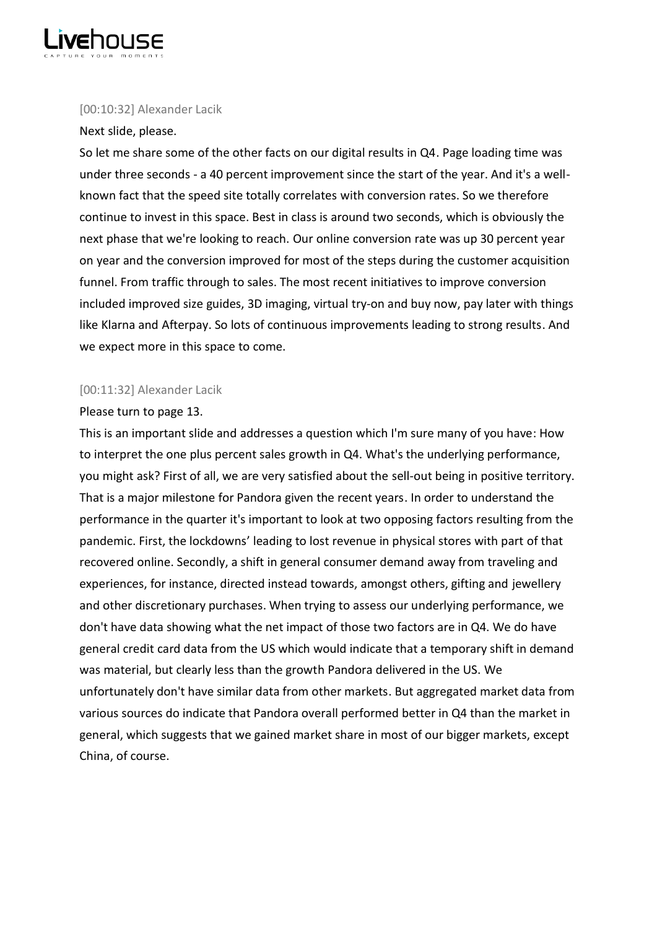

## [00:10:32] Alexander Lacik

## Next slide, please.

So let me share some of the other facts on our digital results in Q4. Page loading time was under three seconds - a 40 percent improvement since the start of the year. And it's a wellknown fact that the speed site totally correlates with conversion rates. So we therefore continue to invest in this space. Best in class is around two seconds, which is obviously the next phase that we're looking to reach. Our online conversion rate was up 30 percent year on year and the conversion improved for most of the steps during the customer acquisition funnel. From traffic through to sales. The most recent initiatives to improve conversion included improved size guides, 3D imaging, virtual try-on and buy now, pay later with things like Klarna and Afterpay. So lots of continuous improvements leading to strong results. And we expect more in this space to come.

# [00:11:32] Alexander Lacik

## Please turn to page 13.

This is an important slide and addresses a question which I'm sure many of you have: How to interpret the one plus percent sales growth in Q4. What's the underlying performance, you might ask? First of all, we are very satisfied about the sell-out being in positive territory. That is a major milestone for Pandora given the recent years. In order to understand the performance in the quarter it's important to look at two opposing factors resulting from the pandemic. First, the lockdowns' leading to lost revenue in physical stores with part of that recovered online. Secondly, a shift in general consumer demand away from traveling and experiences, for instance, directed instead towards, amongst others, gifting and jewellery and other discretionary purchases. When trying to assess our underlying performance, we don't have data showing what the net impact of those two factors are in Q4. We do have general credit card data from the US which would indicate that a temporary shift in demand was material, but clearly less than the growth Pandora delivered in the US. We unfortunately don't have similar data from other markets. But aggregated market data from various sources do indicate that Pandora overall performed better in Q4 than the market in general, which suggests that we gained market share in most of our bigger markets, except China, of course.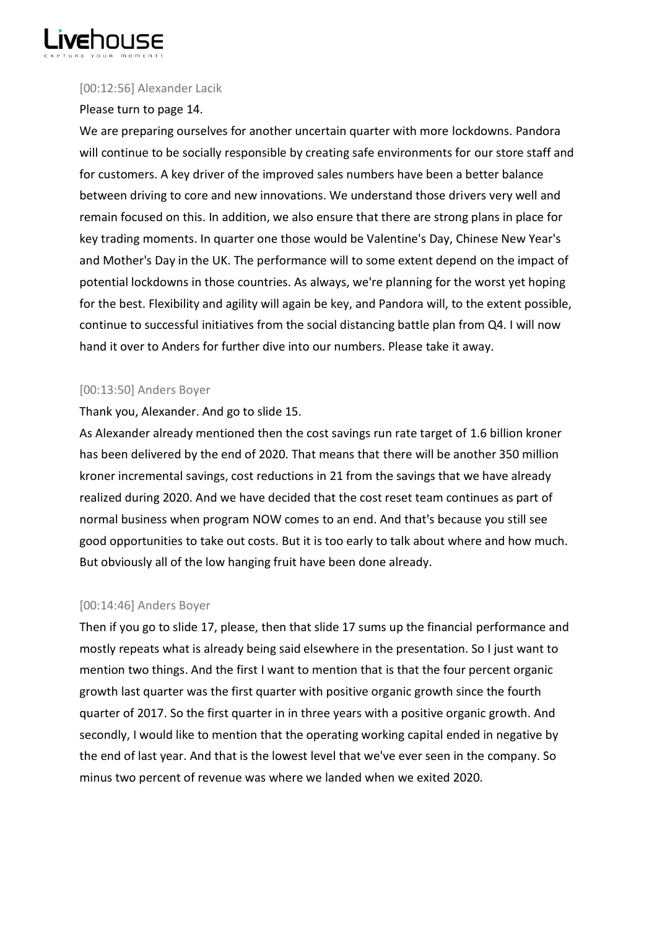

# [00:12:56] Alexander Lacik

# Please turn to page 14.

We are preparing ourselves for another uncertain quarter with more lockdowns. Pandora will continue to be socially responsible by creating safe environments for our store staff and for customers. A key driver of the improved sales numbers have been a better balance between driving to core and new innovations. We understand those drivers very well and remain focused on this. In addition, we also ensure that there are strong plans in place for key trading moments. In quarter one those would be Valentine's Day, Chinese New Year's and Mother's Day in the UK. The performance will to some extent depend on the impact of potential lockdowns in those countries. As always, we're planning for the worst yet hoping for the best. Flexibility and agility will again be key, and Pandora will, to the extent possible, continue to successful initiatives from the social distancing battle plan from Q4. I will now hand it over to Anders for further dive into our numbers. Please take it away.

# [00:13:50] Anders Boyer

# Thank you, Alexander. And go to slide 15.

As Alexander already mentioned then the cost savings run rate target of 1.6 billion kroner has been delivered by the end of 2020. That means that there will be another 350 million kroner incremental savings, cost reductions in 21 from the savings that we have already realized during 2020. And we have decided that the cost reset team continues as part of normal business when program NOW comes to an end. And that's because you still see good opportunities to take out costs. But it is too early to talk about where and how much. But obviously all of the low hanging fruit have been done already.

# [00:14:46] Anders Boyer

Then if you go to slide 17, please, then that slide 17 sums up the financial performance and mostly repeats what is already being said elsewhere in the presentation. So I just want to mention two things. And the first I want to mention that is that the four percent organic growth last quarter was the first quarter with positive organic growth since the fourth quarter of 2017. So the first quarter in in three years with a positive organic growth. And secondly, I would like to mention that the operating working capital ended in negative by the end of last year. And that is the lowest level that we've ever seen in the company. So minus two percent of revenue was where we landed when we exited 2020.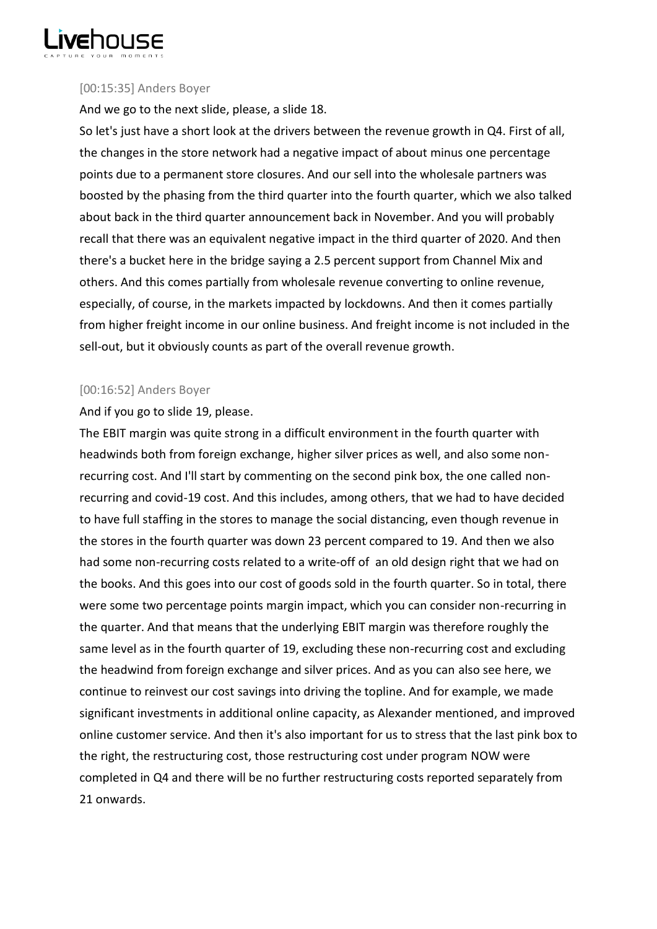

## [00:15:35] Anders Boyer

And we go to the next slide, please, a slide 18.

So let's just have a short look at the drivers between the revenue growth in Q4. First of all, the changes in the store network had a negative impact of about minus one percentage points due to a permanent store closures. And our sell into the wholesale partners was boosted by the phasing from the third quarter into the fourth quarter, which we also talked about back in the third quarter announcement back in November. And you will probably recall that there was an equivalent negative impact in the third quarter of 2020. And then there's a bucket here in the bridge saying a 2.5 percent support from Channel Mix and others. And this comes partially from wholesale revenue converting to online revenue, especially, of course, in the markets impacted by lockdowns. And then it comes partially from higher freight income in our online business. And freight income is not included in the sell-out, but it obviously counts as part of the overall revenue growth.

# [00:16:52] Anders Boyer

# And if you go to slide 19, please.

The EBIT margin was quite strong in a difficult environment in the fourth quarter with headwinds both from foreign exchange, higher silver prices as well, and also some nonrecurring cost. And I'll start by commenting on the second pink box, the one called nonrecurring and covid-19 cost. And this includes, among others, that we had to have decided to have full staffing in the stores to manage the social distancing, even though revenue in the stores in the fourth quarter was down 23 percent compared to 19. And then we also had some non-recurring costs related to a write-off of an old design right that we had on the books. And this goes into our cost of goods sold in the fourth quarter. So in total, there were some two percentage points margin impact, which you can consider non-recurring in the quarter. And that means that the underlying EBIT margin was therefore roughly the same level as in the fourth quarter of 19, excluding these non-recurring cost and excluding the headwind from foreign exchange and silver prices. And as you can also see here, we continue to reinvest our cost savings into driving the topline. And for example, we made significant investments in additional online capacity, as Alexander mentioned, and improved online customer service. And then it's also important for us to stress that the last pink box to the right, the restructuring cost, those restructuring cost under program NOW were completed in Q4 and there will be no further restructuring costs reported separately from 21 onwards.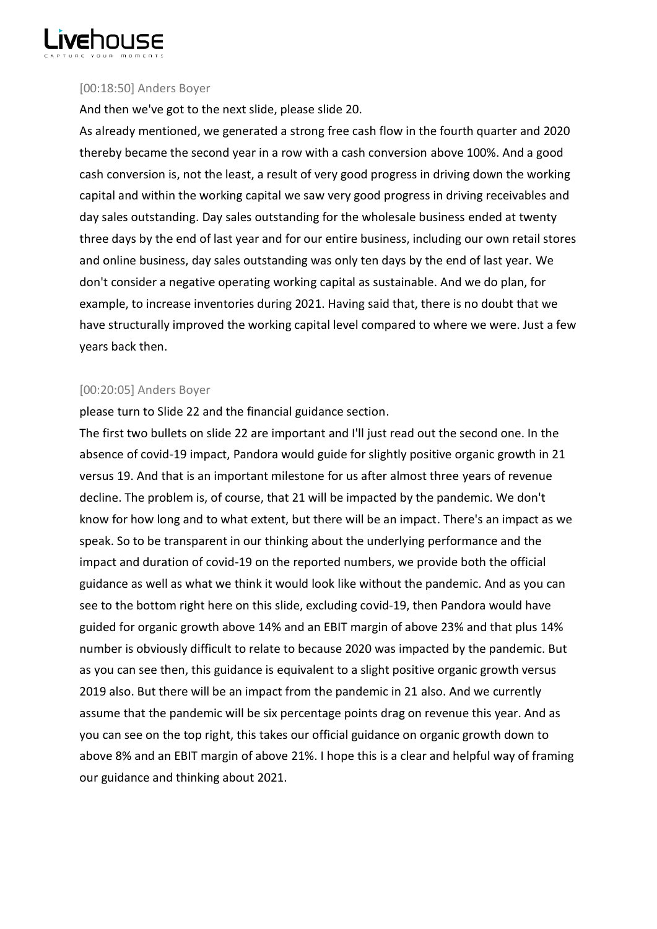

## [00:18:50] Anders Boyer

And then we've got to the next slide, please slide 20.

As already mentioned, we generated a strong free cash flow in the fourth quarter and 2020 thereby became the second year in a row with a cash conversion above 100%. And a good cash conversion is, not the least, a result of very good progress in driving down the working capital and within the working capital we saw very good progress in driving receivables and day sales outstanding. Day sales outstanding for the wholesale business ended at twenty three days by the end of last year and for our entire business, including our own retail stores and online business, day sales outstanding was only ten days by the end of last year. We don't consider a negative operating working capital as sustainable. And we do plan, for example, to increase inventories during 2021. Having said that, there is no doubt that we have structurally improved the working capital level compared to where we were. Just a few years back then.

# [00:20:05] Anders Boyer

please turn to Slide 22 and the financial guidance section.

The first two bullets on slide 22 are important and I'll just read out the second one. In the absence of covid-19 impact, Pandora would guide for slightly positive organic growth in 21 versus 19. And that is an important milestone for us after almost three years of revenue decline. The problem is, of course, that 21 will be impacted by the pandemic. We don't know for how long and to what extent, but there will be an impact. There's an impact as we speak. So to be transparent in our thinking about the underlying performance and the impact and duration of covid-19 on the reported numbers, we provide both the official guidance as well as what we think it would look like without the pandemic. And as you can see to the bottom right here on this slide, excluding covid-19, then Pandora would have guided for organic growth above 14% and an EBIT margin of above 23% and that plus 14% number is obviously difficult to relate to because 2020 was impacted by the pandemic. But as you can see then, this guidance is equivalent to a slight positive organic growth versus 2019 also. But there will be an impact from the pandemic in 21 also. And we currently assume that the pandemic will be six percentage points drag on revenue this year. And as you can see on the top right, this takes our official guidance on organic growth down to above 8% and an EBIT margin of above 21%. I hope this is a clear and helpful way of framing our guidance and thinking about 2021.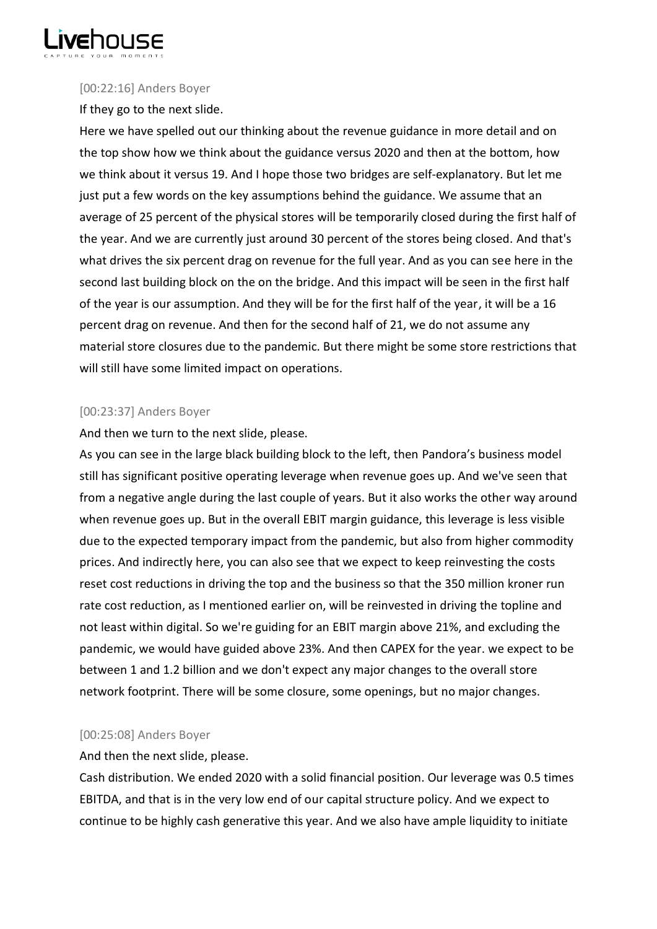

## [00:22:16] Anders Boyer

If they go to the next slide.

Here we have spelled out our thinking about the revenue guidance in more detail and on the top show how we think about the guidance versus 2020 and then at the bottom, how we think about it versus 19. And I hope those two bridges are self-explanatory. But let me just put a few words on the key assumptions behind the guidance. We assume that an average of 25 percent of the physical stores will be temporarily closed during the first half of the year. And we are currently just around 30 percent of the stores being closed. And that's what drives the six percent drag on revenue for the full year. And as you can see here in the second last building block on the on the bridge. And this impact will be seen in the first half of the year is our assumption. And they will be for the first half of the year, it will be a 16 percent drag on revenue. And then for the second half of 21, we do not assume any material store closures due to the pandemic. But there might be some store restrictions that will still have some limited impact on operations.

# [00:23:37] Anders Boyer

And then we turn to the next slide, please.

As you can see in the large black building block to the left, then Pandora's business model still has significant positive operating leverage when revenue goes up. And we've seen that from a negative angle during the last couple of years. But it also works the other way around when revenue goes up. But in the overall EBIT margin guidance, this leverage is less visible due to the expected temporary impact from the pandemic, but also from higher commodity prices. And indirectly here, you can also see that we expect to keep reinvesting the costs reset cost reductions in driving the top and the business so that the 350 million kroner run rate cost reduction, as I mentioned earlier on, will be reinvested in driving the topline and not least within digital. So we're guiding for an EBIT margin above 21%, and excluding the pandemic, we would have guided above 23%. And then CAPEX for the year. we expect to be between 1 and 1.2 billion and we don't expect any major changes to the overall store network footprint. There will be some closure, some openings, but no major changes.

# [00:25:08] Anders Boyer

And then the next slide, please.

Cash distribution. We ended 2020 with a solid financial position. Our leverage was 0.5 times EBITDA, and that is in the very low end of our capital structure policy. And we expect to continue to be highly cash generative this year. And we also have ample liquidity to initiate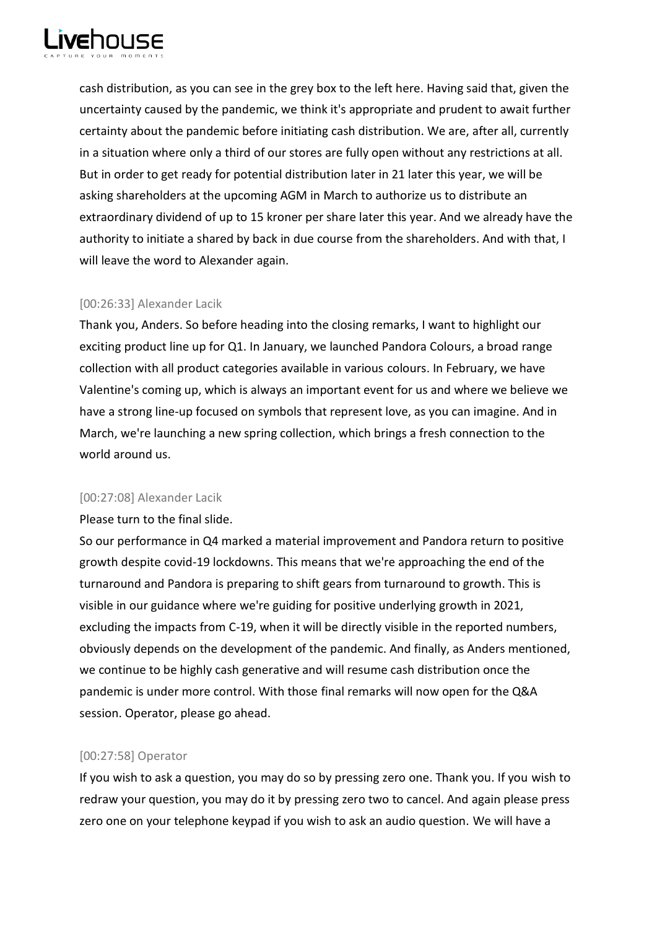

cash distribution, as you can see in the grey box to the left here. Having said that, given the uncertainty caused by the pandemic, we think it's appropriate and prudent to await further certainty about the pandemic before initiating cash distribution. We are, after all, currently in a situation where only a third of our stores are fully open without any restrictions at all. But in order to get ready for potential distribution later in 21 later this year, we will be asking shareholders at the upcoming AGM in March to authorize us to distribute an extraordinary dividend of up to 15 kroner per share later this year. And we already have the authority to initiate a shared by back in due course from the shareholders. And with that, I will leave the word to Alexander again.

## [00:26:33] Alexander Lacik

Thank you, Anders. So before heading into the closing remarks, I want to highlight our exciting product line up for Q1. In January, we launched Pandora Colours, a broad range collection with all product categories available in various colours. In February, we have Valentine's coming up, which is always an important event for us and where we believe we have a strong line-up focused on symbols that represent love, as you can imagine. And in March, we're launching a new spring collection, which brings a fresh connection to the world around us.

# [00:27:08] Alexander Lacik

Please turn to the final slide.

So our performance in Q4 marked a material improvement and Pandora return to positive growth despite covid-19 lockdowns. This means that we're approaching the end of the turnaround and Pandora is preparing to shift gears from turnaround to growth. This is visible in our guidance where we're guiding for positive underlying growth in 2021, excluding the impacts from C-19, when it will be directly visible in the reported numbers, obviously depends on the development of the pandemic. And finally, as Anders mentioned, we continue to be highly cash generative and will resume cash distribution once the pandemic is under more control. With those final remarks will now open for the Q&A session. Operator, please go ahead.

# [00:27:58] Operator

If you wish to ask a question, you may do so by pressing zero one. Thank you. If you wish to redraw your question, you may do it by pressing zero two to cancel. And again please press zero one on your telephone keypad if you wish to ask an audio question. We will have a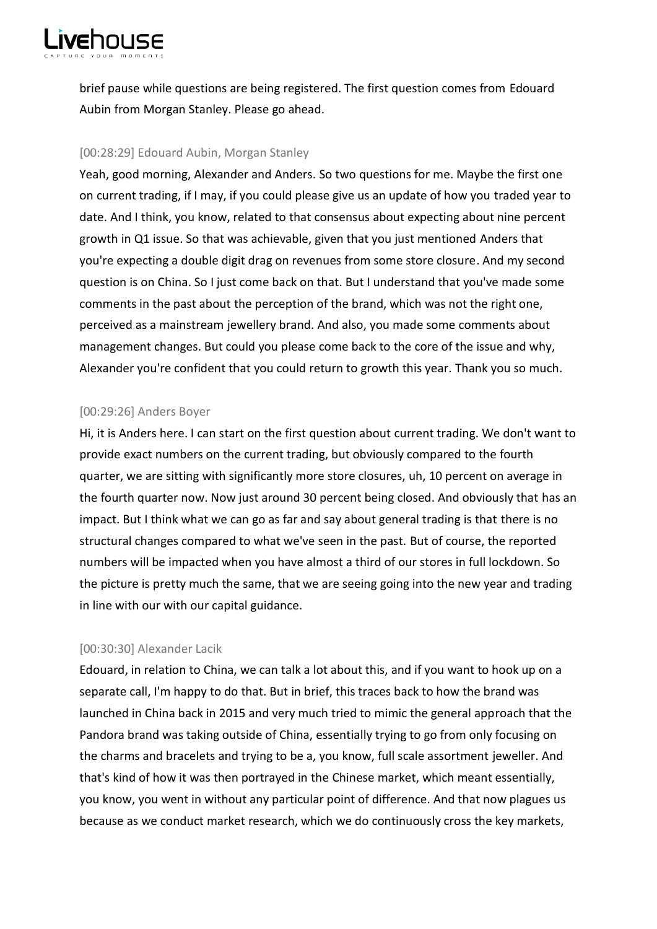

brief pause while questions are being registered. The first question comes from Edouard Aubin from Morgan Stanley. Please go ahead.

## [00:28:29] Edouard Aubin, Morgan Stanley

Yeah, good morning, Alexander and Anders. So two questions for me. Maybe the first one on current trading, if I may, if you could please give us an update of how you traded year to date. And I think, you know, related to that consensus about expecting about nine percent growth in Q1 issue. So that was achievable, given that you just mentioned Anders that you're expecting a double digit drag on revenues from some store closure. And my second question is on China. So I just come back on that. But I understand that you've made some comments in the past about the perception of the brand, which was not the right one, perceived as a mainstream jewellery brand. And also, you made some comments about management changes. But could you please come back to the core of the issue and why, Alexander you're confident that you could return to growth this year. Thank you so much.

## [00:29:26] Anders Boyer

Hi, it is Anders here. I can start on the first question about current trading. We don't want to provide exact numbers on the current trading, but obviously compared to the fourth quarter, we are sitting with significantly more store closures, uh, 10 percent on average in the fourth quarter now. Now just around 30 percent being closed. And obviously that has an impact. But I think what we can go as far and say about general trading is that there is no structural changes compared to what we've seen in the past. But of course, the reported numbers will be impacted when you have almost a third of our stores in full lockdown. So the picture is pretty much the same, that we are seeing going into the new year and trading in line with our with our capital guidance.

# [00:30:30] Alexander Lacik

Edouard, in relation to China, we can talk a lot about this, and if you want to hook up on a separate call, I'm happy to do that. But in brief, this traces back to how the brand was launched in China back in 2015 and very much tried to mimic the general approach that the Pandora brand was taking outside of China, essentially trying to go from only focusing on the charms and bracelets and trying to be a, you know, full scale assortment jeweller. And that's kind of how it was then portrayed in the Chinese market, which meant essentially, you know, you went in without any particular point of difference. And that now plagues us because as we conduct market research, which we do continuously cross the key markets,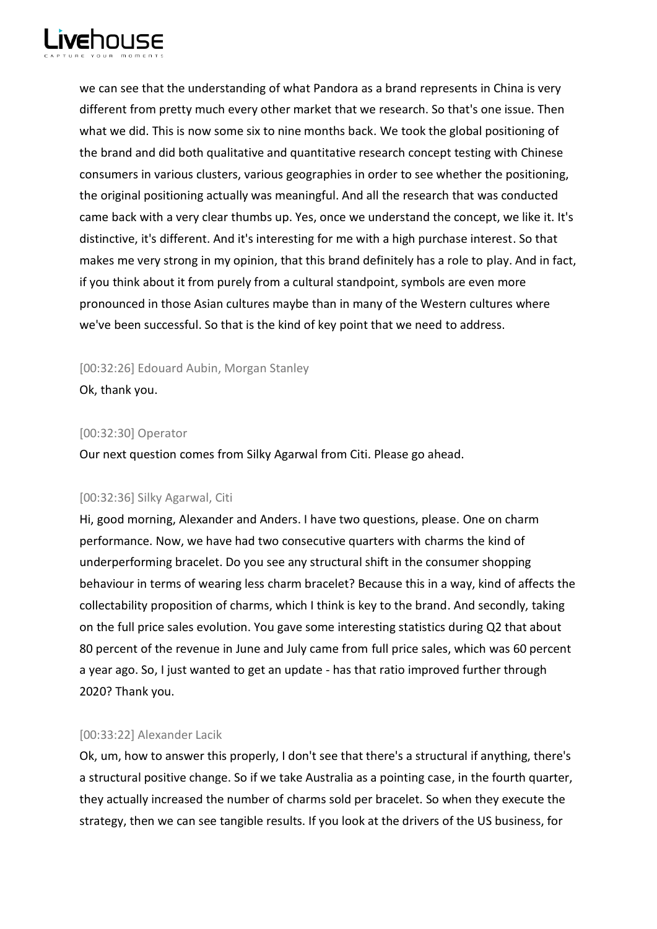

we can see that the understanding of what Pandora as a brand represents in China is very different from pretty much every other market that we research. So that's one issue. Then what we did. This is now some six to nine months back. We took the global positioning of the brand and did both qualitative and quantitative research concept testing with Chinese consumers in various clusters, various geographies in order to see whether the positioning, the original positioning actually was meaningful. And all the research that was conducted came back with a very clear thumbs up. Yes, once we understand the concept, we like it. It's distinctive, it's different. And it's interesting for me with a high purchase interest. So that makes me very strong in my opinion, that this brand definitely has a role to play. And in fact, if you think about it from purely from a cultural standpoint, symbols are even more pronounced in those Asian cultures maybe than in many of the Western cultures where we've been successful. So that is the kind of key point that we need to address.

[00:32:26] Edouard Aubin, Morgan Stanley

Ok, thank you.

# [00:32:30] Operator

Our next question comes from Silky Agarwal from Citi. Please go ahead.

# [00:32:36] Silky Agarwal, Citi

Hi, good morning, Alexander and Anders. I have two questions, please. One on charm performance. Now, we have had two consecutive quarters with charms the kind of underperforming bracelet. Do you see any structural shift in the consumer shopping behaviour in terms of wearing less charm bracelet? Because this in a way, kind of affects the collectability proposition of charms, which I think is key to the brand. And secondly, taking on the full price sales evolution. You gave some interesting statistics during Q2 that about 80 percent of the revenue in June and July came from full price sales, which was 60 percent a year ago. So, I just wanted to get an update - has that ratio improved further through 2020? Thank you.

# [00:33:22] Alexander Lacik

Ok, um, how to answer this properly, I don't see that there's a structural if anything, there's a structural positive change. So if we take Australia as a pointing case, in the fourth quarter, they actually increased the number of charms sold per bracelet. So when they execute the strategy, then we can see tangible results. If you look at the drivers of the US business, for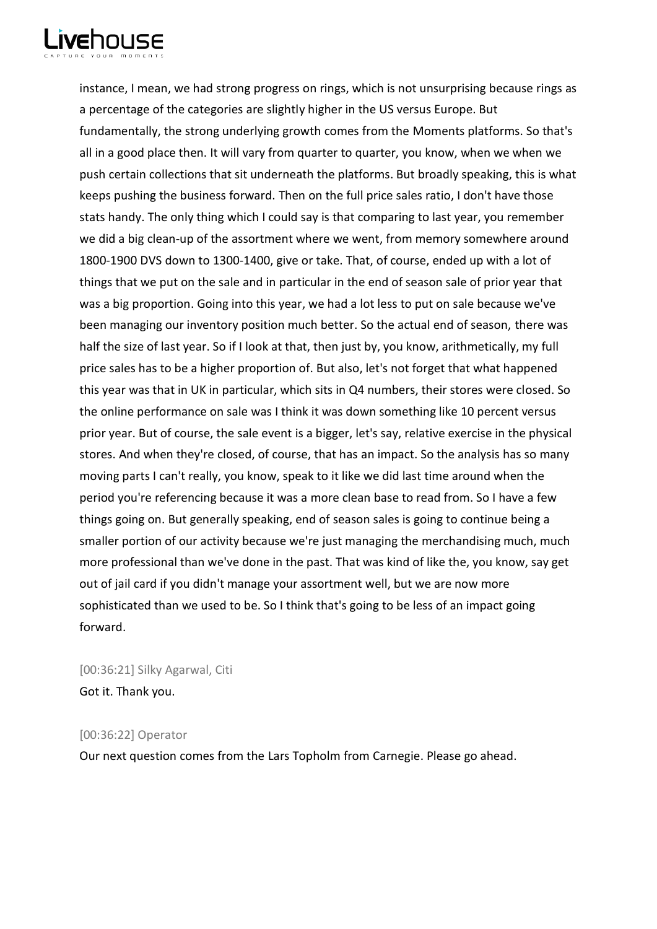

instance, I mean, we had strong progress on rings, which is not unsurprising because rings as a percentage of the categories are slightly higher in the US versus Europe. But fundamentally, the strong underlying growth comes from the Moments platforms. So that's all in a good place then. It will vary from quarter to quarter, you know, when we when we push certain collections that sit underneath the platforms. But broadly speaking, this is what keeps pushing the business forward. Then on the full price sales ratio, I don't have those stats handy. The only thing which I could say is that comparing to last year, you remember we did a big clean-up of the assortment where we went, from memory somewhere around 1800-1900 DVS down to 1300-1400, give or take. That, of course, ended up with a lot of things that we put on the sale and in particular in the end of season sale of prior year that was a big proportion. Going into this year, we had a lot less to put on sale because we've been managing our inventory position much better. So the actual end of season, there was half the size of last year. So if I look at that, then just by, you know, arithmetically, my full price sales has to be a higher proportion of. But also, let's not forget that what happened this year was that in UK in particular, which sits in Q4 numbers, their stores were closed. So the online performance on sale was I think it was down something like 10 percent versus prior year. But of course, the sale event is a bigger, let's say, relative exercise in the physical stores. And when they're closed, of course, that has an impact. So the analysis has so many moving parts I can't really, you know, speak to it like we did last time around when the period you're referencing because it was a more clean base to read from. So I have a few things going on. But generally speaking, end of season sales is going to continue being a smaller portion of our activity because we're just managing the merchandising much, much more professional than we've done in the past. That was kind of like the, you know, say get out of jail card if you didn't manage your assortment well, but we are now more sophisticated than we used to be. So I think that's going to be less of an impact going forward.

[00:36:21] Silky Agarwal, Citi Got it. Thank you.

## [00:36:22] Operator

Our next question comes from the Lars Topholm from Carnegie. Please go ahead.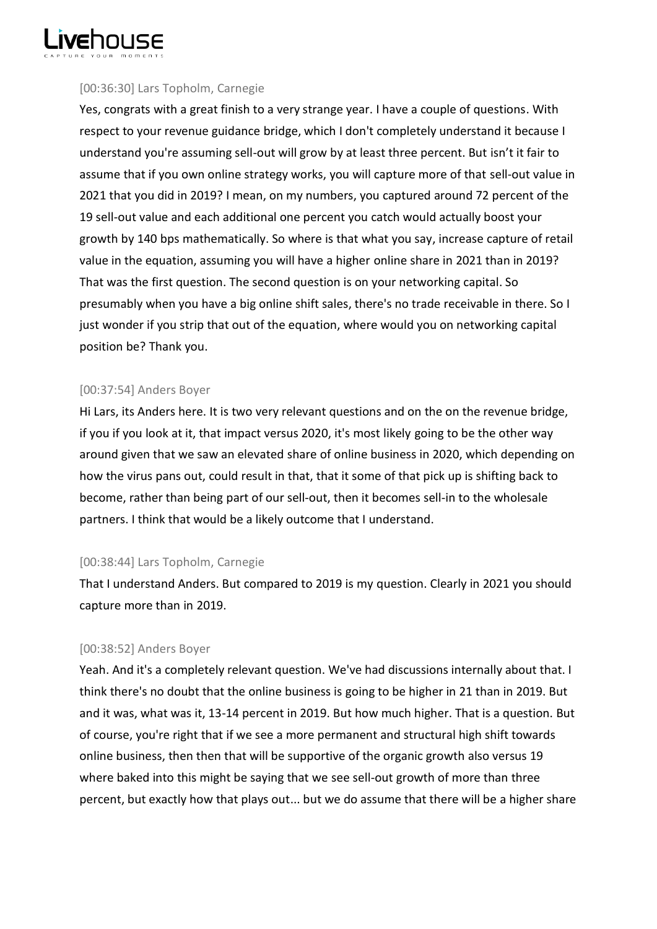

# [00:36:30] Lars Topholm, Carnegie

Yes, congrats with a great finish to a very strange year. I have a couple of questions. With respect to your revenue guidance bridge, which I don't completely understand it because I understand you're assuming sell-out will grow by at least three percent. But isn't it fair to assume that if you own online strategy works, you will capture more of that sell-out value in 2021 that you did in 2019? I mean, on my numbers, you captured around 72 percent of the 19 sell-out value and each additional one percent you catch would actually boost your growth by 140 bps mathematically. So where is that what you say, increase capture of retail value in the equation, assuming you will have a higher online share in 2021 than in 2019? That was the first question. The second question is on your networking capital. So presumably when you have a big online shift sales, there's no trade receivable in there. So I just wonder if you strip that out of the equation, where would you on networking capital position be? Thank you.

# [00:37:54] Anders Boyer

Hi Lars, its Anders here. It is two very relevant questions and on the on the revenue bridge, if you if you look at it, that impact versus 2020, it's most likely going to be the other way around given that we saw an elevated share of online business in 2020, which depending on how the virus pans out, could result in that, that it some of that pick up is shifting back to become, rather than being part of our sell-out, then it becomes sell-in to the wholesale partners. I think that would be a likely outcome that I understand.

# [00:38:44] Lars Topholm, Carnegie

That I understand Anders. But compared to 2019 is my question. Clearly in 2021 you should capture more than in 2019.

# [00:38:52] Anders Boyer

Yeah. And it's a completely relevant question. We've had discussions internally about that. I think there's no doubt that the online business is going to be higher in 21 than in 2019. But and it was, what was it, 13-14 percent in 2019. But how much higher. That is a question. But of course, you're right that if we see a more permanent and structural high shift towards online business, then then that will be supportive of the organic growth also versus 19 where baked into this might be saying that we see sell-out growth of more than three percent, but exactly how that plays out... but we do assume that there will be a higher share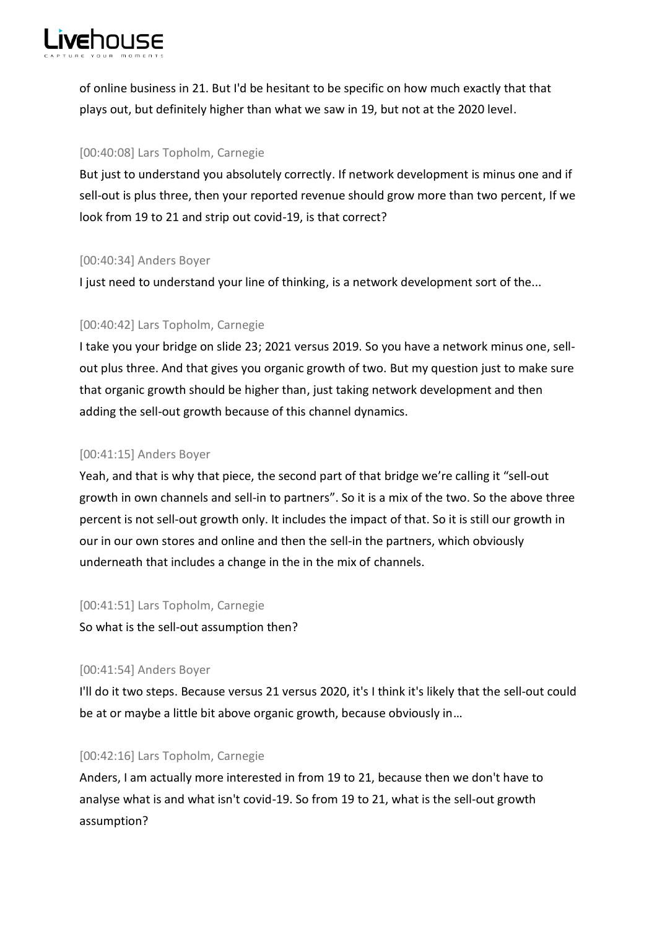

of online business in 21. But I'd be hesitant to be specific on how much exactly that that plays out, but definitely higher than what we saw in 19, but not at the 2020 level.

## [00:40:08] Lars Topholm, Carnegie

But just to understand you absolutely correctly. If network development is minus one and if sell-out is plus three, then your reported revenue should grow more than two percent, If we look from 19 to 21 and strip out covid-19, is that correct?

# [00:40:34] Anders Boyer

I just need to understand your line of thinking, is a network development sort of the...

# [00:40:42] Lars Topholm, Carnegie

I take you your bridge on slide 23; 2021 versus 2019. So you have a network minus one, sellout plus three. And that gives you organic growth of two. But my question just to make sure that organic growth should be higher than, just taking network development and then adding the sell-out growth because of this channel dynamics.

# [00:41:15] Anders Boyer

Yeah, and that is why that piece, the second part of that bridge we're calling it "sell-out growth in own channels and sell-in to partners". So it is a mix of the two. So the above three percent is not sell-out growth only. It includes the impact of that. So it is still our growth in our in our own stores and online and then the sell-in the partners, which obviously underneath that includes a change in the in the mix of channels.

## [00:41:51] Lars Topholm, Carnegie

So what is the sell-out assumption then?

# [00:41:54] Anders Boyer

I'll do it two steps. Because versus 21 versus 2020, it's I think it's likely that the sell-out could be at or maybe a little bit above organic growth, because obviously in…

# [00:42:16] Lars Topholm, Carnegie

Anders, I am actually more interested in from 19 to 21, because then we don't have to analyse what is and what isn't covid-19. So from 19 to 21, what is the sell-out growth assumption?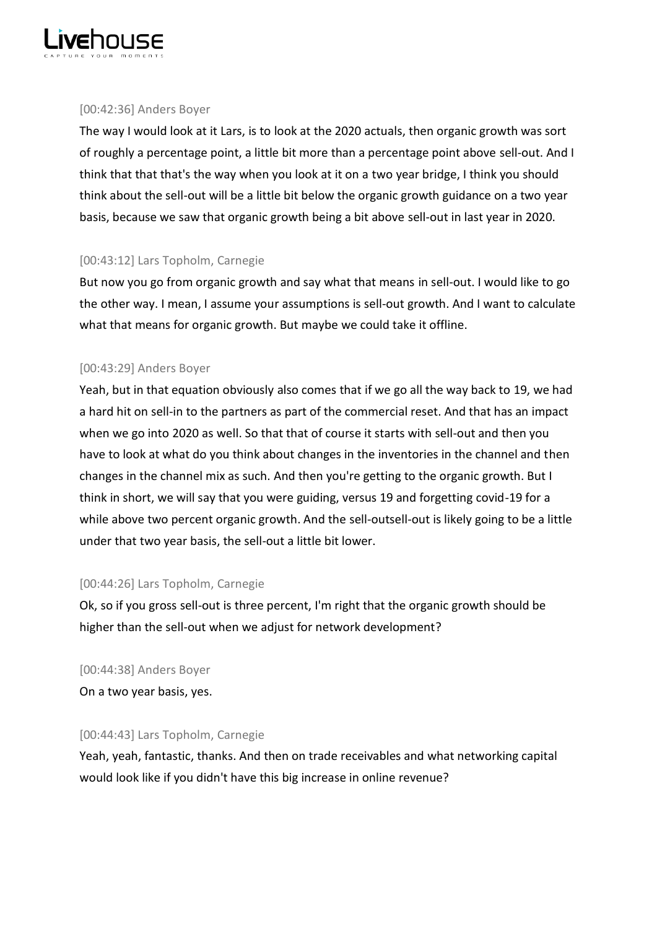

## [00:42:36] Anders Boyer

The way I would look at it Lars, is to look at the 2020 actuals, then organic growth was sort of roughly a percentage point, a little bit more than a percentage point above sell-out. And I think that that that's the way when you look at it on a two year bridge, I think you should think about the sell-out will be a little bit below the organic growth guidance on a two year basis, because we saw that organic growth being a bit above sell-out in last year in 2020.

# [00:43:12] Lars Topholm, Carnegie

But now you go from organic growth and say what that means in sell-out. I would like to go the other way. I mean, I assume your assumptions is sell-out growth. And I want to calculate what that means for organic growth. But maybe we could take it offline.

# [00:43:29] Anders Boyer

Yeah, but in that equation obviously also comes that if we go all the way back to 19, we had a hard hit on sell-in to the partners as part of the commercial reset. And that has an impact when we go into 2020 as well. So that that of course it starts with sell-out and then you have to look at what do you think about changes in the inventories in the channel and then changes in the channel mix as such. And then you're getting to the organic growth. But I think in short, we will say that you were guiding, versus 19 and forgetting covid-19 for a while above two percent organic growth. And the sell-outsell-out is likely going to be a little under that two year basis, the sell-out a little bit lower.

# [00:44:26] Lars Topholm, Carnegie

Ok, so if you gross sell-out is three percent, I'm right that the organic growth should be higher than the sell-out when we adjust for network development?

# [00:44:38] Anders Boyer

On a two year basis, yes.

# [00:44:43] Lars Topholm, Carnegie

Yeah, yeah, fantastic, thanks. And then on trade receivables and what networking capital would look like if you didn't have this big increase in online revenue?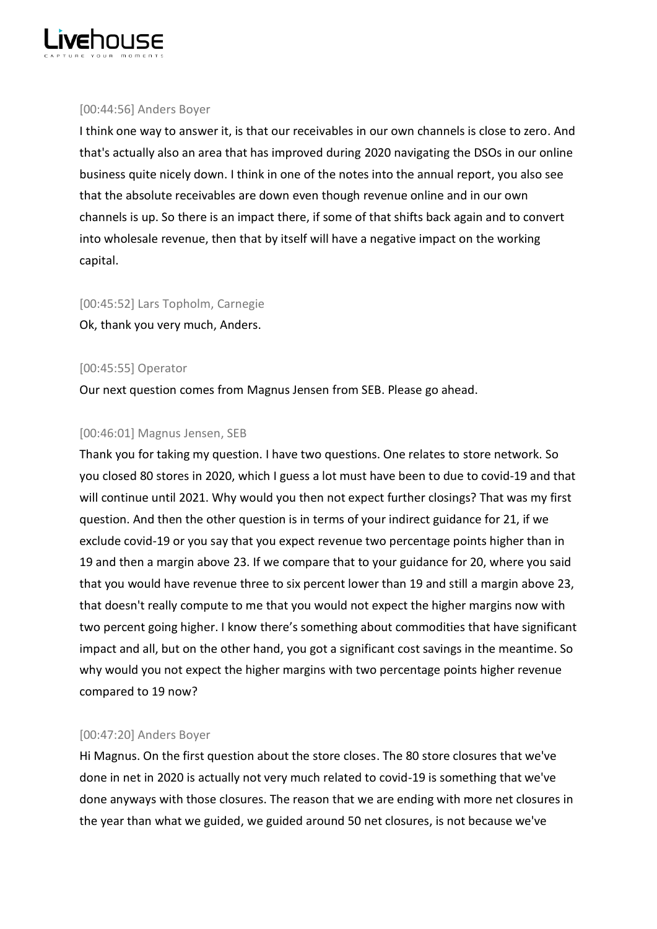

## [00:44:56] Anders Boyer

I think one way to answer it, is that our receivables in our own channels is close to zero. And that's actually also an area that has improved during 2020 navigating the DSOs in our online business quite nicely down. I think in one of the notes into the annual report, you also see that the absolute receivables are down even though revenue online and in our own channels is up. So there is an impact there, if some of that shifts back again and to convert into wholesale revenue, then that by itself will have a negative impact on the working capital.

# [00:45:52] Lars Topholm, Carnegie

Ok, thank you very much, Anders.

# [00:45:55] Operator

Our next question comes from Magnus Jensen from SEB. Please go ahead.

# [00:46:01] Magnus Jensen, SEB

Thank you for taking my question. I have two questions. One relates to store network. So you closed 80 stores in 2020, which I guess a lot must have been to due to covid-19 and that will continue until 2021. Why would you then not expect further closings? That was my first question. And then the other question is in terms of your indirect guidance for 21, if we exclude covid-19 or you say that you expect revenue two percentage points higher than in 19 and then a margin above 23. If we compare that to your guidance for 20, where you said that you would have revenue three to six percent lower than 19 and still a margin above 23, that doesn't really compute to me that you would not expect the higher margins now with two percent going higher. I know there's something about commodities that have significant impact and all, but on the other hand, you got a significant cost savings in the meantime. So why would you not expect the higher margins with two percentage points higher revenue compared to 19 now?

# [00:47:20] Anders Boyer

Hi Magnus. On the first question about the store closes. The 80 store closures that we've done in net in 2020 is actually not very much related to covid-19 is something that we've done anyways with those closures. The reason that we are ending with more net closures in the year than what we guided, we guided around 50 net closures, is not because we've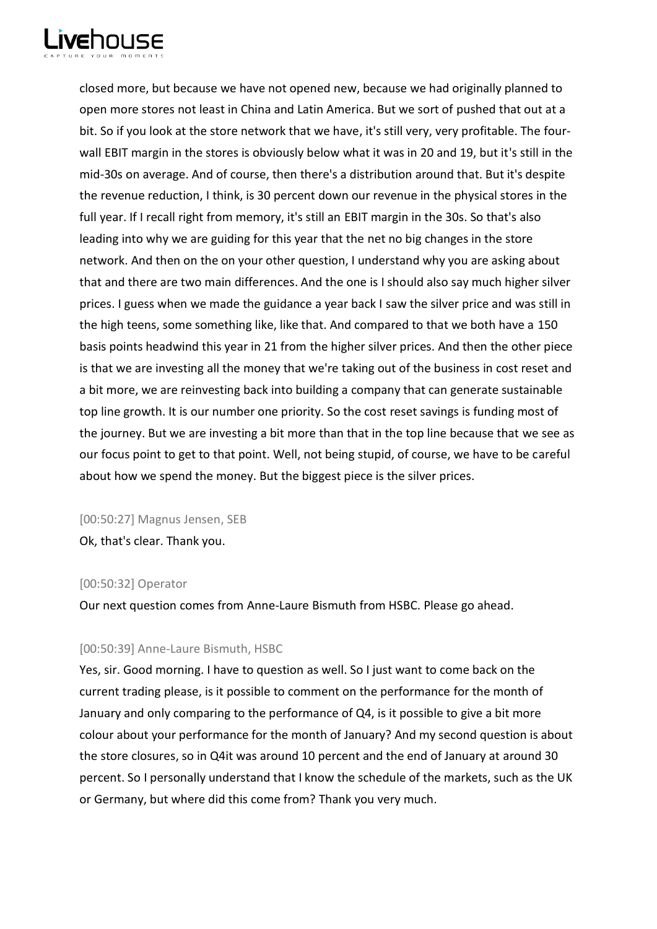

closed more, but because we have not opened new, because we had originally planned to open more stores not least in China and Latin America. But we sort of pushed that out at a bit. So if you look at the store network that we have, it's still very, very profitable. The fourwall EBIT margin in the stores is obviously below what it was in 20 and 19, but it's still in the mid-30s on average. And of course, then there's a distribution around that. But it's despite the revenue reduction, I think, is 30 percent down our revenue in the physical stores in the full year. If I recall right from memory, it's still an EBIT margin in the 30s. So that's also leading into why we are guiding for this year that the net no big changes in the store network. And then on the on your other question, I understand why you are asking about that and there are two main differences. And the one is I should also say much higher silver prices. I guess when we made the guidance a year back I saw the silver price and was still in the high teens, some something like, like that. And compared to that we both have a 150 basis points headwind this year in 21 from the higher silver prices. And then the other piece is that we are investing all the money that we're taking out of the business in cost reset and a bit more, we are reinvesting back into building a company that can generate sustainable top line growth. It is our number one priority. So the cost reset savings is funding most of the journey. But we are investing a bit more than that in the top line because that we see as our focus point to get to that point. Well, not being stupid, of course, we have to be careful about how we spend the money. But the biggest piece is the silver prices.

## [00:50:27] Magnus Jensen, SEB

Ok, that's clear. Thank you.

## [00:50:32] Operator

Our next question comes from Anne-Laure Bismuth from HSBC. Please go ahead.

## [00:50:39] Anne-Laure Bismuth, HSBC

Yes, sir. Good morning. I have to question as well. So I just want to come back on the current trading please, is it possible to comment on the performance for the month of January and only comparing to the performance of Q4, is it possible to give a bit more colour about your performance for the month of January? And my second question is about the store closures, so in Q4it was around 10 percent and the end of January at around 30 percent. So I personally understand that I know the schedule of the markets, such as the UK or Germany, but where did this come from? Thank you very much.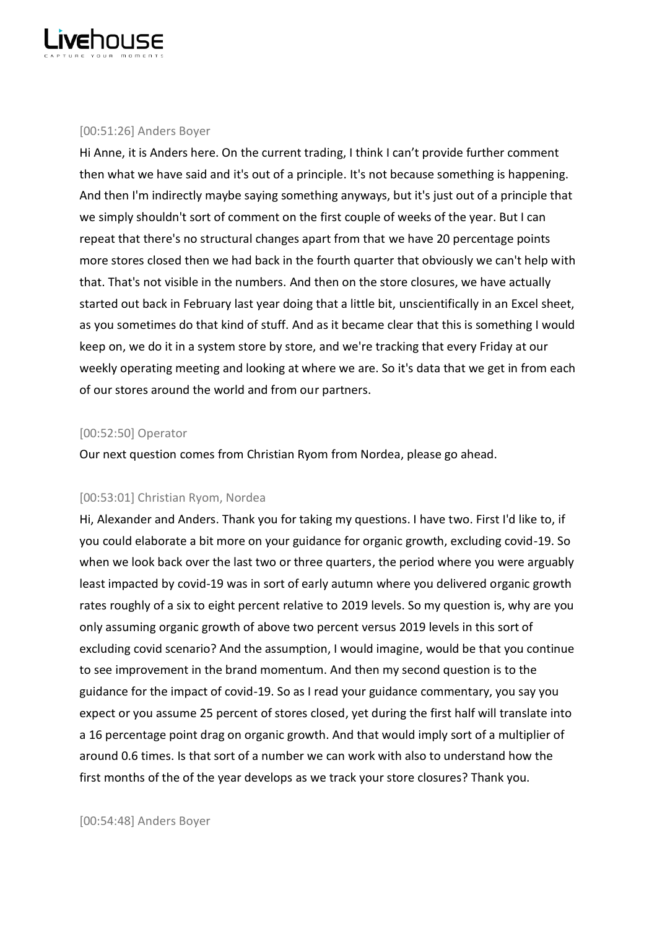

## [00:51:26] Anders Boyer

Hi Anne, it is Anders here. On the current trading, I think I can't provide further comment then what we have said and it's out of a principle. It's not because something is happening. And then I'm indirectly maybe saying something anyways, but it's just out of a principle that we simply shouldn't sort of comment on the first couple of weeks of the year. But I can repeat that there's no structural changes apart from that we have 20 percentage points more stores closed then we had back in the fourth quarter that obviously we can't help with that. That's not visible in the numbers. And then on the store closures, we have actually started out back in February last year doing that a little bit, unscientifically in an Excel sheet, as you sometimes do that kind of stuff. And as it became clear that this is something I would keep on, we do it in a system store by store, and we're tracking that every Friday at our weekly operating meeting and looking at where we are. So it's data that we get in from each of our stores around the world and from our partners.

## [00:52:50] Operator

Our next question comes from Christian Ryom from Nordea, please go ahead.

# [00:53:01] Christian Ryom, Nordea

Hi, Alexander and Anders. Thank you for taking my questions. I have two. First I'd like to, if you could elaborate a bit more on your guidance for organic growth, excluding covid-19. So when we look back over the last two or three quarters, the period where you were arguably least impacted by covid-19 was in sort of early autumn where you delivered organic growth rates roughly of a six to eight percent relative to 2019 levels. So my question is, why are you only assuming organic growth of above two percent versus 2019 levels in this sort of excluding covid scenario? And the assumption, I would imagine, would be that you continue to see improvement in the brand momentum. And then my second question is to the guidance for the impact of covid-19. So as I read your guidance commentary, you say you expect or you assume 25 percent of stores closed, yet during the first half will translate into a 16 percentage point drag on organic growth. And that would imply sort of a multiplier of around 0.6 times. Is that sort of a number we can work with also to understand how the first months of the of the year develops as we track your store closures? Thank you.

[00:54:48] Anders Boyer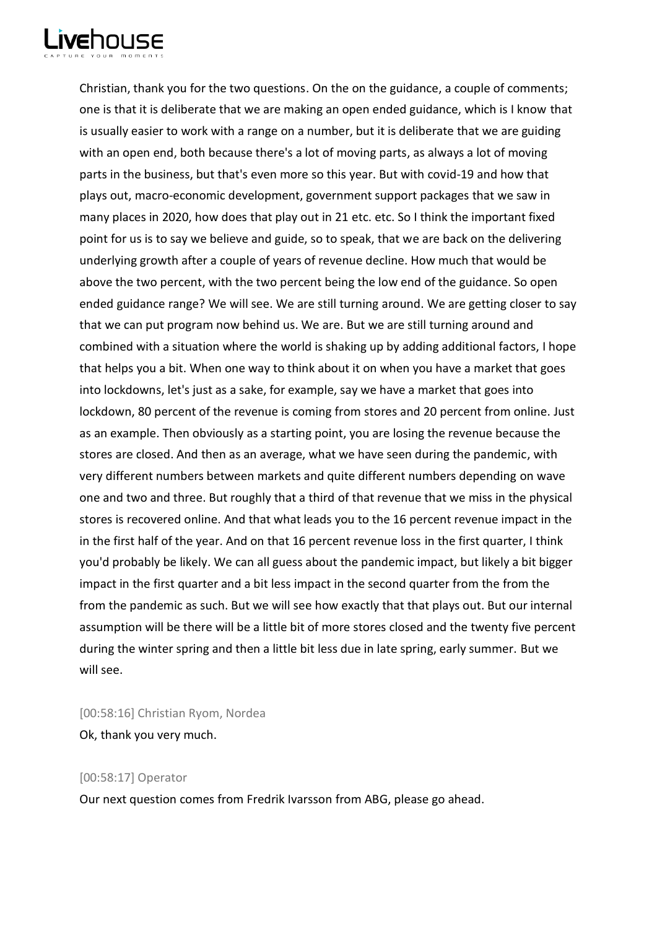

Christian, thank you for the two questions. On the on the guidance, a couple of comments; one is that it is deliberate that we are making an open ended guidance, which is I know that is usually easier to work with a range on a number, but it is deliberate that we are guiding with an open end, both because there's a lot of moving parts, as always a lot of moving parts in the business, but that's even more so this year. But with covid-19 and how that plays out, macro-economic development, government support packages that we saw in many places in 2020, how does that play out in 21 etc. etc. So I think the important fixed point for us is to say we believe and guide, so to speak, that we are back on the delivering underlying growth after a couple of years of revenue decline. How much that would be above the two percent, with the two percent being the low end of the guidance. So open ended guidance range? We will see. We are still turning around. We are getting closer to say that we can put program now behind us. We are. But we are still turning around and combined with a situation where the world is shaking up by adding additional factors, I hope that helps you a bit. When one way to think about it on when you have a market that goes into lockdowns, let's just as a sake, for example, say we have a market that goes into lockdown, 80 percent of the revenue is coming from stores and 20 percent from online. Just as an example. Then obviously as a starting point, you are losing the revenue because the stores are closed. And then as an average, what we have seen during the pandemic, with very different numbers between markets and quite different numbers depending on wave one and two and three. But roughly that a third of that revenue that we miss in the physical stores is recovered online. And that what leads you to the 16 percent revenue impact in the in the first half of the year. And on that 16 percent revenue loss in the first quarter, I think you'd probably be likely. We can all guess about the pandemic impact, but likely a bit bigger impact in the first quarter and a bit less impact in the second quarter from the from the from the pandemic as such. But we will see how exactly that that plays out. But our internal assumption will be there will be a little bit of more stores closed and the twenty five percent during the winter spring and then a little bit less due in late spring, early summer. But we will see.

[00:58:16] Christian Ryom, Nordea Ok, thank you very much.

## [00:58:17] Operator

Our next question comes from Fredrik Ivarsson from ABG, please go ahead.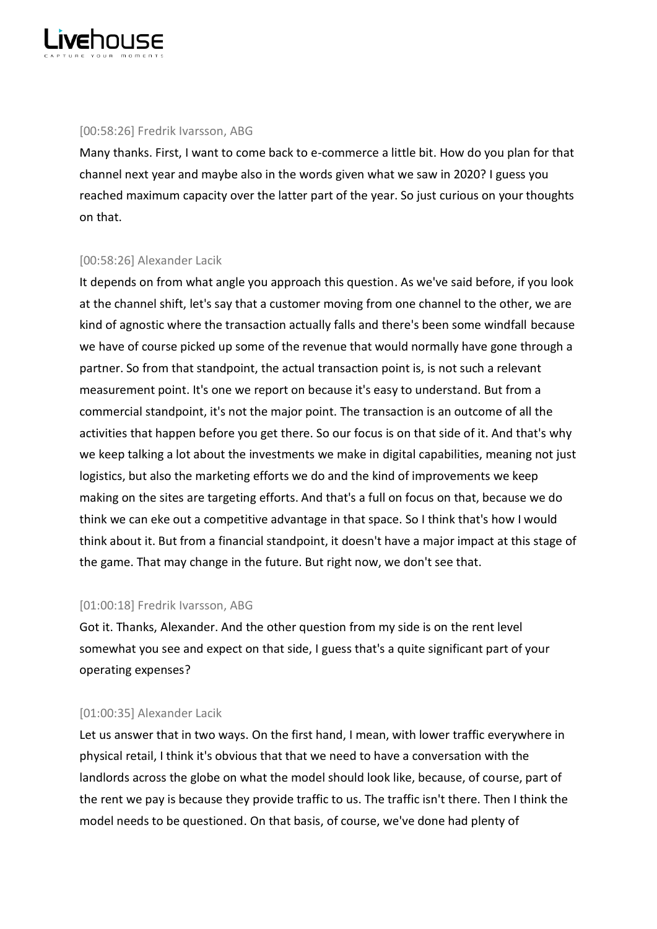

## [00:58:26] Fredrik Ivarsson, ABG

Many thanks. First, I want to come back to e-commerce a little bit. How do you plan for that channel next year and maybe also in the words given what we saw in 2020? I guess you reached maximum capacity over the latter part of the year. So just curious on your thoughts on that.

## [00:58:26] Alexander Lacik

It depends on from what angle you approach this question. As we've said before, if you look at the channel shift, let's say that a customer moving from one channel to the other, we are kind of agnostic where the transaction actually falls and there's been some windfall because we have of course picked up some of the revenue that would normally have gone through a partner. So from that standpoint, the actual transaction point is, is not such a relevant measurement point. It's one we report on because it's easy to understand. But from a commercial standpoint, it's not the major point. The transaction is an outcome of all the activities that happen before you get there. So our focus is on that side of it. And that's why we keep talking a lot about the investments we make in digital capabilities, meaning not just logistics, but also the marketing efforts we do and the kind of improvements we keep making on the sites are targeting efforts. And that's a full on focus on that, because we do think we can eke out a competitive advantage in that space. So I think that's how I would think about it. But from a financial standpoint, it doesn't have a major impact at this stage of the game. That may change in the future. But right now, we don't see that.

## [01:00:18] Fredrik Ivarsson, ABG

Got it. Thanks, Alexander. And the other question from my side is on the rent level somewhat you see and expect on that side, I guess that's a quite significant part of your operating expenses?

#### [01:00:35] Alexander Lacik

Let us answer that in two ways. On the first hand, I mean, with lower traffic everywhere in physical retail, I think it's obvious that that we need to have a conversation with the landlords across the globe on what the model should look like, because, of course, part of the rent we pay is because they provide traffic to us. The traffic isn't there. Then I think the model needs to be questioned. On that basis, of course, we've done had plenty of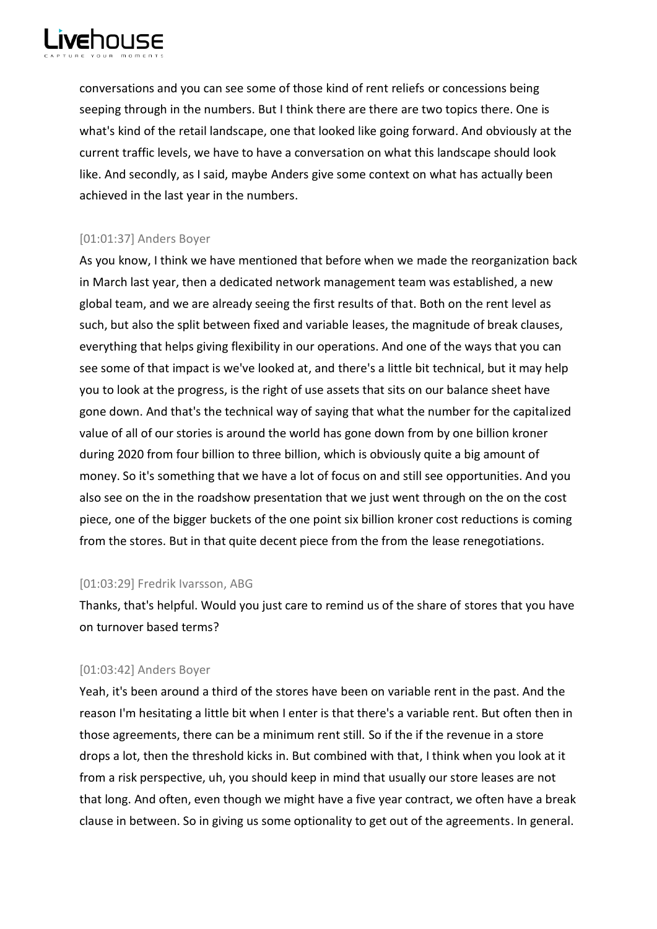

conversations and you can see some of those kind of rent reliefs or concessions being seeping through in the numbers. But I think there are there are two topics there. One is what's kind of the retail landscape, one that looked like going forward. And obviously at the current traffic levels, we have to have a conversation on what this landscape should look like. And secondly, as I said, maybe Anders give some context on what has actually been achieved in the last year in the numbers.

# [01:01:37] Anders Boyer

As you know, I think we have mentioned that before when we made the reorganization back in March last year, then a dedicated network management team was established, a new global team, and we are already seeing the first results of that. Both on the rent level as such, but also the split between fixed and variable leases, the magnitude of break clauses, everything that helps giving flexibility in our operations. And one of the ways that you can see some of that impact is we've looked at, and there's a little bit technical, but it may help you to look at the progress, is the right of use assets that sits on our balance sheet have gone down. And that's the technical way of saying that what the number for the capitalized value of all of our stories is around the world has gone down from by one billion kroner during 2020 from four billion to three billion, which is obviously quite a big amount of money. So it's something that we have a lot of focus on and still see opportunities. And you also see on the in the roadshow presentation that we just went through on the on the cost piece, one of the bigger buckets of the one point six billion kroner cost reductions is coming from the stores. But in that quite decent piece from the from the lease renegotiations.

## [01:03:29] Fredrik Ivarsson, ABG

Thanks, that's helpful. Would you just care to remind us of the share of stores that you have on turnover based terms?

## [01:03:42] Anders Boyer

Yeah, it's been around a third of the stores have been on variable rent in the past. And the reason I'm hesitating a little bit when I enter is that there's a variable rent. But often then in those agreements, there can be a minimum rent still. So if the if the revenue in a store drops a lot, then the threshold kicks in. But combined with that, I think when you look at it from a risk perspective, uh, you should keep in mind that usually our store leases are not that long. And often, even though we might have a five year contract, we often have a break clause in between. So in giving us some optionality to get out of the agreements. In general.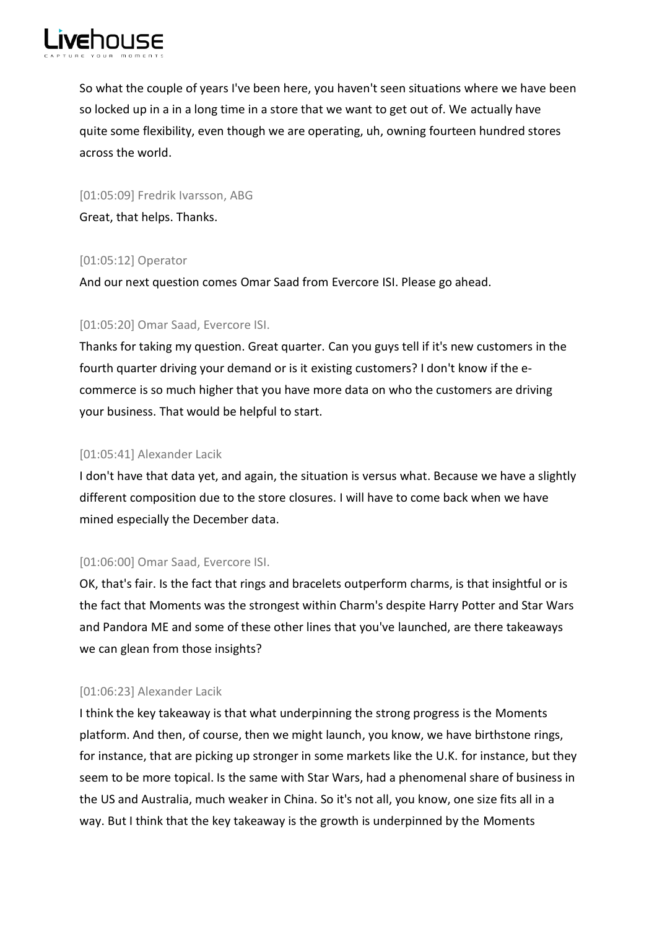

So what the couple of years I've been here, you haven't seen situations where we have been so locked up in a in a long time in a store that we want to get out of. We actually have quite some flexibility, even though we are operating, uh, owning fourteen hundred stores across the world.

[01:05:09] Fredrik Ivarsson, ABG Great, that helps. Thanks.

# [01:05:12] Operator

And our next question comes Omar Saad from Evercore ISI. Please go ahead.

# [01:05:20] Omar Saad, Evercore ISI.

Thanks for taking my question. Great quarter. Can you guys tell if it's new customers in the fourth quarter driving your demand or is it existing customers? I don't know if the ecommerce is so much higher that you have more data on who the customers are driving your business. That would be helpful to start.

## [01:05:41] Alexander Lacik

I don't have that data yet, and again, the situation is versus what. Because we have a slightly different composition due to the store closures. I will have to come back when we have mined especially the December data.

## [01:06:00] Omar Saad, Evercore ISI.

OK, that's fair. Is the fact that rings and bracelets outperform charms, is that insightful or is the fact that Moments was the strongest within Charm's despite Harry Potter and Star Wars and Pandora ME and some of these other lines that you've launched, are there takeaways we can glean from those insights?

## [01:06:23] Alexander Lacik

I think the key takeaway is that what underpinning the strong progress is the Moments platform. And then, of course, then we might launch, you know, we have birthstone rings, for instance, that are picking up stronger in some markets like the U.K. for instance, but they seem to be more topical. Is the same with Star Wars, had a phenomenal share of business in the US and Australia, much weaker in China. So it's not all, you know, one size fits all in a way. But I think that the key takeaway is the growth is underpinned by the Moments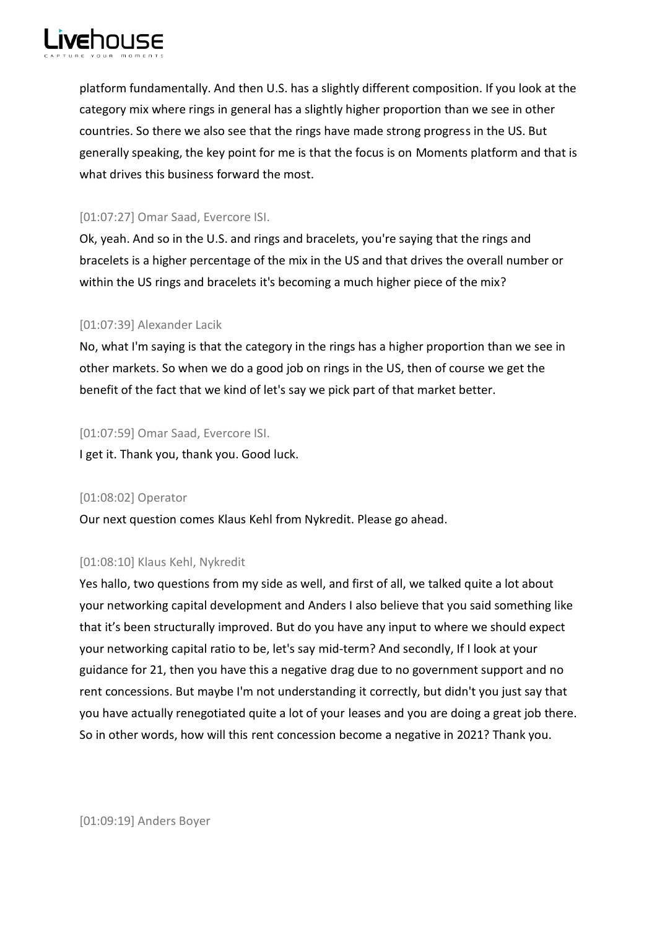

platform fundamentally. And then U.S. has a slightly different composition. If you look at the category mix where rings in general has a slightly higher proportion than we see in other countries. So there we also see that the rings have made strong progress in the US. But generally speaking, the key point for me is that the focus is on Moments platform and that is what drives this business forward the most.

# [01:07:27] Omar Saad, Evercore ISI.

Ok, yeah. And so in the U.S. and rings and bracelets, you're saying that the rings and bracelets is a higher percentage of the mix in the US and that drives the overall number or within the US rings and bracelets it's becoming a much higher piece of the mix?

# [01:07:39] Alexander Lacik

No, what I'm saying is that the category in the rings has a higher proportion than we see in other markets. So when we do a good job on rings in the US, then of course we get the benefit of the fact that we kind of let's say we pick part of that market better.

# [01:07:59] Omar Saad, Evercore ISI.

I get it. Thank you, thank you. Good luck.

# [01:08:02] Operator

Our next question comes Klaus Kehl from Nykredit. Please go ahead.

# [01:08:10] Klaus Kehl, Nykredit

Yes hallo, two questions from my side as well, and first of all, we talked quite a lot about your networking capital development and Anders I also believe that you said something like that it's been structurally improved. But do you have any input to where we should expect your networking capital ratio to be, let's say mid-term? And secondly, If I look at your guidance for 21, then you have this a negative drag due to no government support and no rent concessions. But maybe I'm not understanding it correctly, but didn't you just say that you have actually renegotiated quite a lot of your leases and you are doing a great job there. So in other words, how will this rent concession become a negative in 2021? Thank you.

[01:09:19] Anders Boyer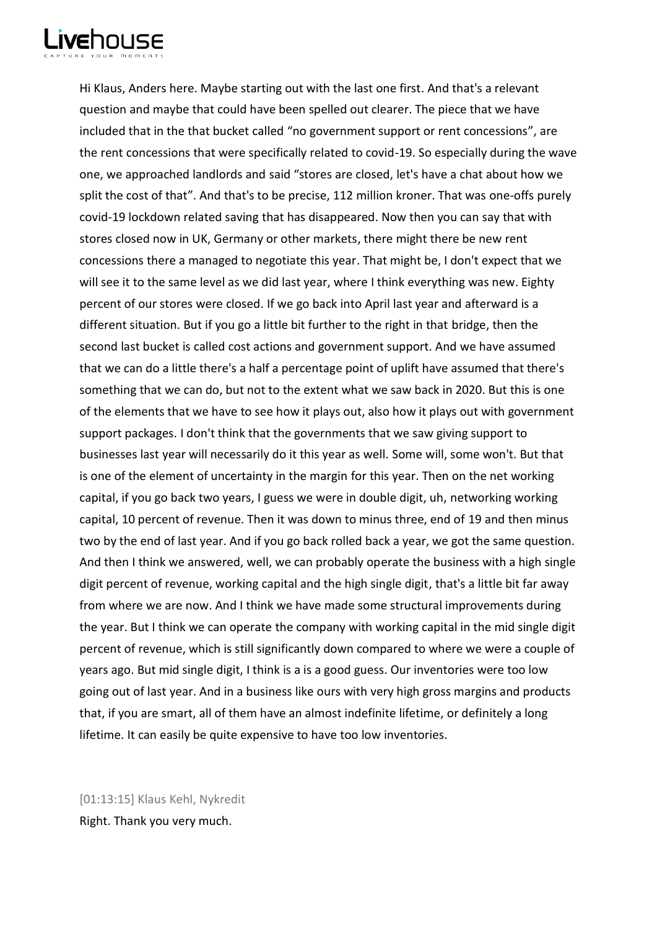

Hi Klaus, Anders here. Maybe starting out with the last one first. And that's a relevant question and maybe that could have been spelled out clearer. The piece that we have included that in the that bucket called "no government support or rent concessions", are the rent concessions that were specifically related to covid-19. So especially during the wave one, we approached landlords and said "stores are closed, let's have a chat about how we split the cost of that". And that's to be precise, 112 million kroner. That was one-offs purely covid-19 lockdown related saving that has disappeared. Now then you can say that with stores closed now in UK, Germany or other markets, there might there be new rent concessions there a managed to negotiate this year. That might be, I don't expect that we will see it to the same level as we did last year, where I think everything was new. Eighty percent of our stores were closed. If we go back into April last year and afterward is a different situation. But if you go a little bit further to the right in that bridge, then the second last bucket is called cost actions and government support. And we have assumed that we can do a little there's a half a percentage point of uplift have assumed that there's something that we can do, but not to the extent what we saw back in 2020. But this is one of the elements that we have to see how it plays out, also how it plays out with government support packages. I don't think that the governments that we saw giving support to businesses last year will necessarily do it this year as well. Some will, some won't. But that is one of the element of uncertainty in the margin for this year. Then on the net working capital, if you go back two years, I guess we were in double digit, uh, networking working capital, 10 percent of revenue. Then it was down to minus three, end of 19 and then minus two by the end of last year. And if you go back rolled back a year, we got the same question. And then I think we answered, well, we can probably operate the business with a high single digit percent of revenue, working capital and the high single digit, that's a little bit far away from where we are now. And I think we have made some structural improvements during the year. But I think we can operate the company with working capital in the mid single digit percent of revenue, which is still significantly down compared to where we were a couple of years ago. But mid single digit, I think is a is a good guess. Our inventories were too low going out of last year. And in a business like ours with very high gross margins and products that, if you are smart, all of them have an almost indefinite lifetime, or definitely a long lifetime. It can easily be quite expensive to have too low inventories.

[01:13:15] Klaus Kehl, Nykredit Right. Thank you very much.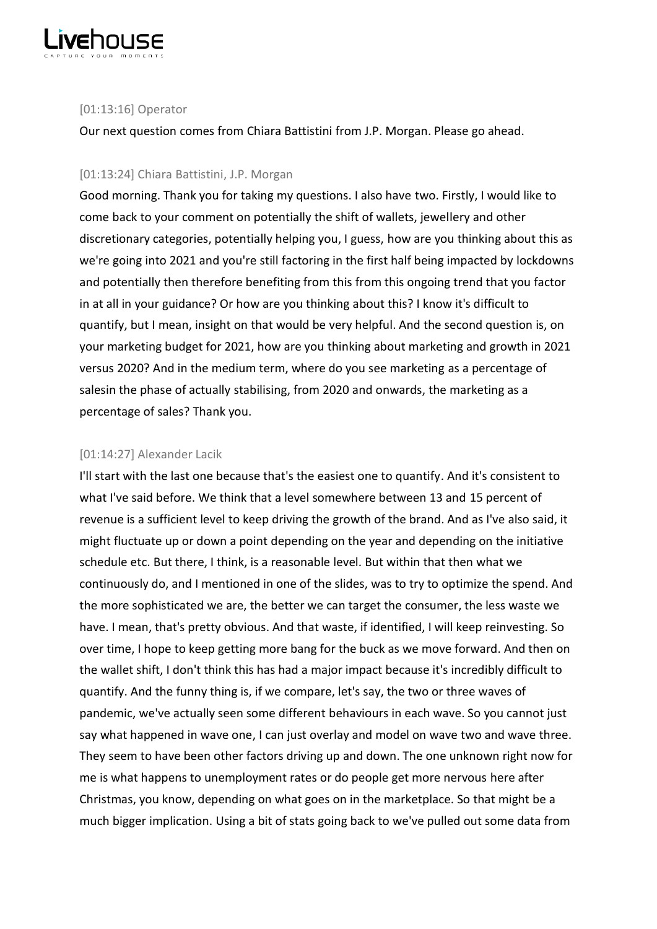

## [01:13:16] Operator

Our next question comes from Chiara Battistini from J.P. Morgan. Please go ahead.

## [01:13:24] Chiara Battistini, J.P. Morgan

Good morning. Thank you for taking my questions. I also have two. Firstly, I would like to come back to your comment on potentially the shift of wallets, jewellery and other discretionary categories, potentially helping you, I guess, how are you thinking about this as we're going into 2021 and you're still factoring in the first half being impacted by lockdowns and potentially then therefore benefiting from this from this ongoing trend that you factor in at all in your guidance? Or how are you thinking about this? I know it's difficult to quantify, but I mean, insight on that would be very helpful. And the second question is, on your marketing budget for 2021, how are you thinking about marketing and growth in 2021 versus 2020? And in the medium term, where do you see marketing as a percentage of salesin the phase of actually stabilising, from 2020 and onwards, the marketing as a percentage of sales? Thank you.

## [01:14:27] Alexander Lacik

I'll start with the last one because that's the easiest one to quantify. And it's consistent to what I've said before. We think that a level somewhere between 13 and 15 percent of revenue is a sufficient level to keep driving the growth of the brand. And as I've also said, it might fluctuate up or down a point depending on the year and depending on the initiative schedule etc. But there, I think, is a reasonable level. But within that then what we continuously do, and I mentioned in one of the slides, was to try to optimize the spend. And the more sophisticated we are, the better we can target the consumer, the less waste we have. I mean, that's pretty obvious. And that waste, if identified, I will keep reinvesting. So over time, I hope to keep getting more bang for the buck as we move forward. And then on the wallet shift, I don't think this has had a major impact because it's incredibly difficult to quantify. And the funny thing is, if we compare, let's say, the two or three waves of pandemic, we've actually seen some different behaviours in each wave. So you cannot just say what happened in wave one, I can just overlay and model on wave two and wave three. They seem to have been other factors driving up and down. The one unknown right now for me is what happens to unemployment rates or do people get more nervous here after Christmas, you know, depending on what goes on in the marketplace. So that might be a much bigger implication. Using a bit of stats going back to we've pulled out some data from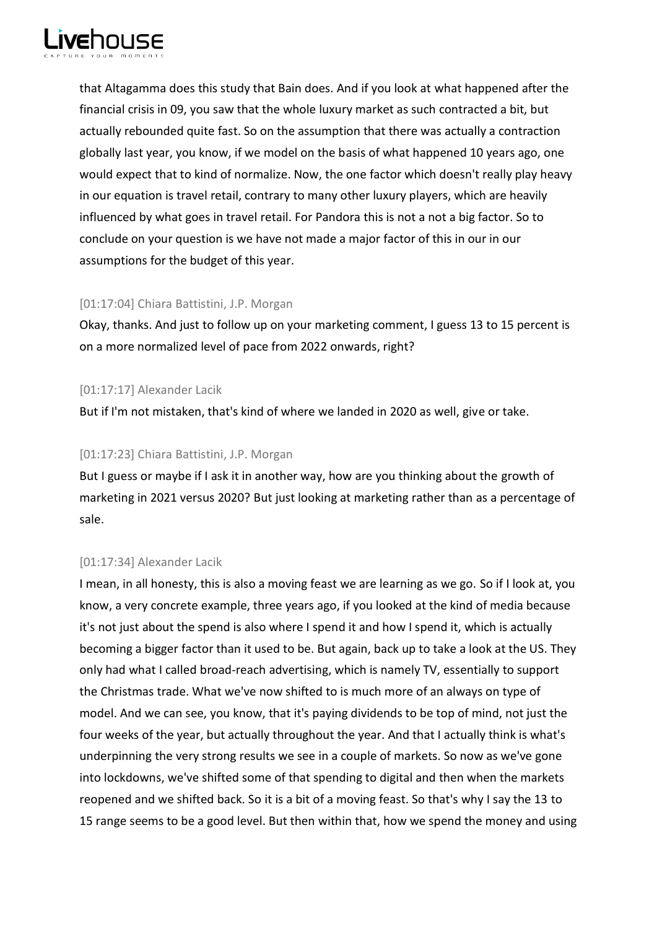

that Altagamma does this study that Bain does. And if you look at what happened after the financial crisis in 09, you saw that the whole luxury market as such contracted a bit, but actually rebounded quite fast. So on the assumption that there was actually a contraction globally last year, you know, if we model on the basis of what happened 10 years ago, one would expect that to kind of normalize. Now, the one factor which doesn't really play heavy in our equation is travel retail, contrary to many other luxury players, which are heavily influenced by what goes in travel retail. For Pandora this is not a not a big factor. So to conclude on your question is we have not made a major factor of this in our in our assumptions for the budget of this year.

# [01:17:04] Chiara Battistini, J.P. Morgan

Okay, thanks. And just to follow up on your marketing comment, I guess 13 to 15 percent is on a more normalized level of pace from 2022 onwards, right?

# [01:17:17] Alexander Lacik

But if I'm not mistaken, that's kind of where we landed in 2020 as well, give or take.

# [01:17:23] Chiara Battistini, J.P. Morgan

But I guess or maybe if I ask it in another way, how are you thinking about the growth of marketing in 2021 versus 2020? But just looking at marketing rather than as a percentage of sale.

# [01:17:34] Alexander Lacik

I mean, in all honesty, this is also a moving feast we are learning as we go. So if I look at, you know, a very concrete example, three years ago, if you looked at the kind of media because it's not just about the spend is also where I spend it and how I spend it, which is actually becoming a bigger factor than it used to be. But again, back up to take a look at the US. They only had what I called broad-reach advertising, which is namely TV, essentially to support the Christmas trade. What we've now shifted to is much more of an always on type of model. And we can see, you know, that it's paying dividends to be top of mind, not just the four weeks of the year, but actually throughout the year. And that I actually think is what's underpinning the very strong results we see in a couple of markets. So now as we've gone into lockdowns, we've shifted some of that spending to digital and then when the markets reopened and we shifted back. So it is a bit of a moving feast. So that's why I say the 13 to 15 range seems to be a good level. But then within that, how we spend the money and using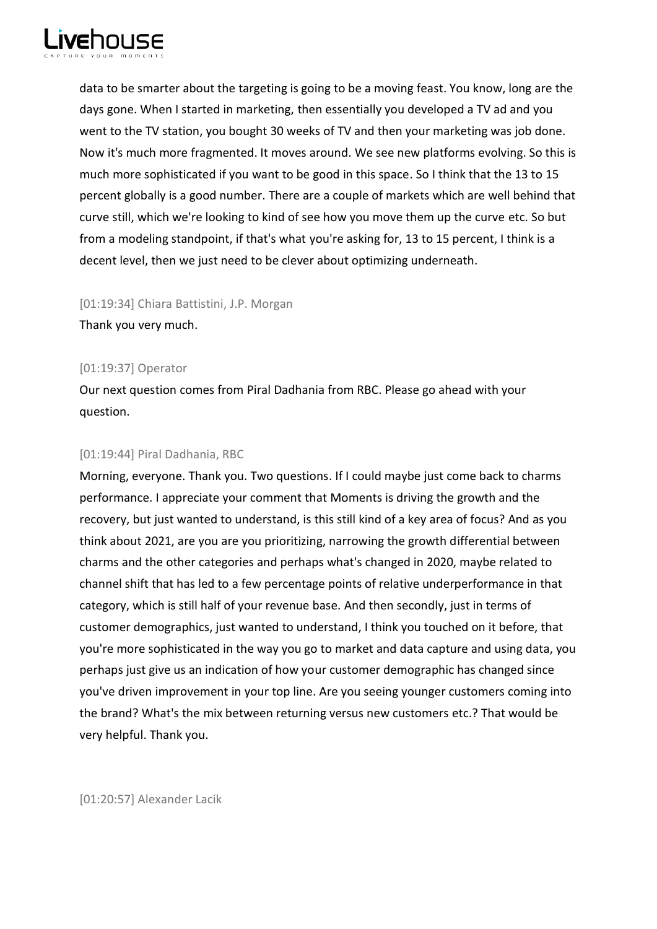

data to be smarter about the targeting is going to be a moving feast. You know, long are the days gone. When I started in marketing, then essentially you developed a TV ad and you went to the TV station, you bought 30 weeks of TV and then your marketing was job done. Now it's much more fragmented. It moves around. We see new platforms evolving. So this is much more sophisticated if you want to be good in this space. So I think that the 13 to 15 percent globally is a good number. There are a couple of markets which are well behind that curve still, which we're looking to kind of see how you move them up the curve etc. So but from a modeling standpoint, if that's what you're asking for, 13 to 15 percent, I think is a decent level, then we just need to be clever about optimizing underneath.

[01:19:34] Chiara Battistini, J.P. Morgan

Thank you very much.

# [01:19:37] Operator

Our next question comes from Piral Dadhania from RBC. Please go ahead with your question.

# [01:19:44] Piral Dadhania, RBC

Morning, everyone. Thank you. Two questions. If I could maybe just come back to charms performance. I appreciate your comment that Moments is driving the growth and the recovery, but just wanted to understand, is this still kind of a key area of focus? And as you think about 2021, are you are you prioritizing, narrowing the growth differential between charms and the other categories and perhaps what's changed in 2020, maybe related to channel shift that has led to a few percentage points of relative underperformance in that category, which is still half of your revenue base. And then secondly, just in terms of customer demographics, just wanted to understand, I think you touched on it before, that you're more sophisticated in the way you go to market and data capture and using data, you perhaps just give us an indication of how your customer demographic has changed since you've driven improvement in your top line. Are you seeing younger customers coming into the brand? What's the mix between returning versus new customers etc.? That would be very helpful. Thank you.

[01:20:57] Alexander Lacik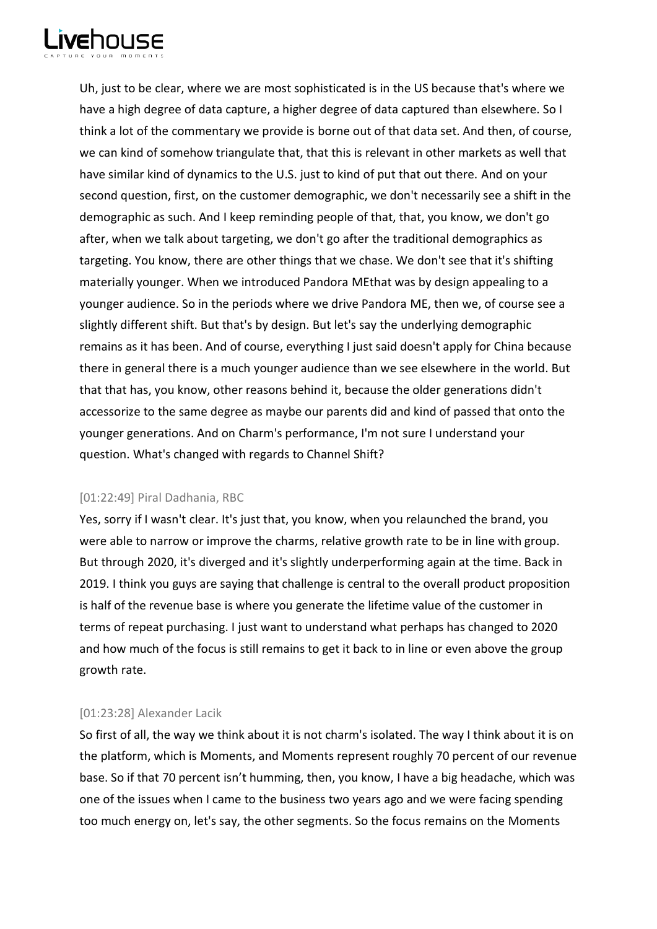

Uh, just to be clear, where we are most sophisticated is in the US because that's where we have a high degree of data capture, a higher degree of data captured than elsewhere. So I think a lot of the commentary we provide is borne out of that data set. And then, of course, we can kind of somehow triangulate that, that this is relevant in other markets as well that have similar kind of dynamics to the U.S. just to kind of put that out there. And on your second question, first, on the customer demographic, we don't necessarily see a shift in the demographic as such. And I keep reminding people of that, that, you know, we don't go after, when we talk about targeting, we don't go after the traditional demographics as targeting. You know, there are other things that we chase. We don't see that it's shifting materially younger. When we introduced Pandora MEthat was by design appealing to a younger audience. So in the periods where we drive Pandora ME, then we, of course see a slightly different shift. But that's by design. But let's say the underlying demographic remains as it has been. And of course, everything I just said doesn't apply for China because there in general there is a much younger audience than we see elsewhere in the world. But that that has, you know, other reasons behind it, because the older generations didn't accessorize to the same degree as maybe our parents did and kind of passed that onto the younger generations. And on Charm's performance, I'm not sure I understand your question. What's changed with regards to Channel Shift?

# [01:22:49] Piral Dadhania, RBC

Yes, sorry if I wasn't clear. It's just that, you know, when you relaunched the brand, you were able to narrow or improve the charms, relative growth rate to be in line with group. But through 2020, it's diverged and it's slightly underperforming again at the time. Back in 2019. I think you guys are saying that challenge is central to the overall product proposition is half of the revenue base is where you generate the lifetime value of the customer in terms of repeat purchasing. I just want to understand what perhaps has changed to 2020 and how much of the focus is still remains to get it back to in line or even above the group growth rate.

## [01:23:28] Alexander Lacik

So first of all, the way we think about it is not charm's isolated. The way I think about it is on the platform, which is Moments, and Moments represent roughly 70 percent of our revenue base. So if that 70 percent isn't humming, then, you know, I have a big headache, which was one of the issues when I came to the business two years ago and we were facing spending too much energy on, let's say, the other segments. So the focus remains on the Moments